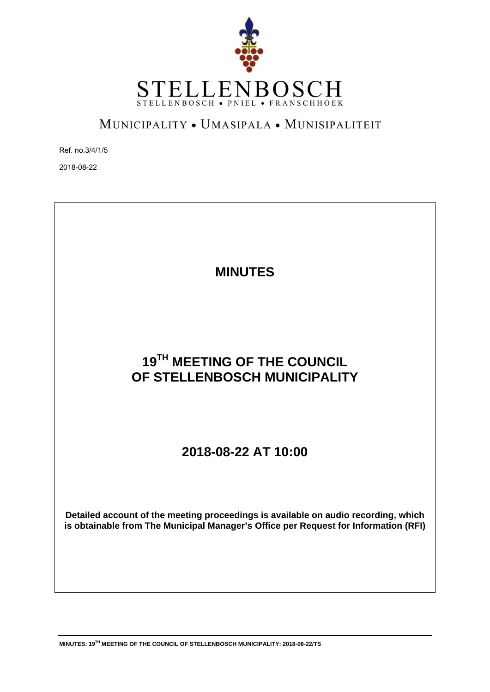

# MUNICIPALITY . UMASIPALA . MUNISIPALITEIT

Ref. no.3/4/1/5

2018-08-22



# **19TH MEETING OF THE COUNCIL OF STELLENBOSCH MUNICIPALITY**

# **2018-08-22 AT 10:00**

**Detailed account of the meeting proceedings is available on audio recording, which is obtainable from The Municipal Manager's Office per Request for Information (RFI)**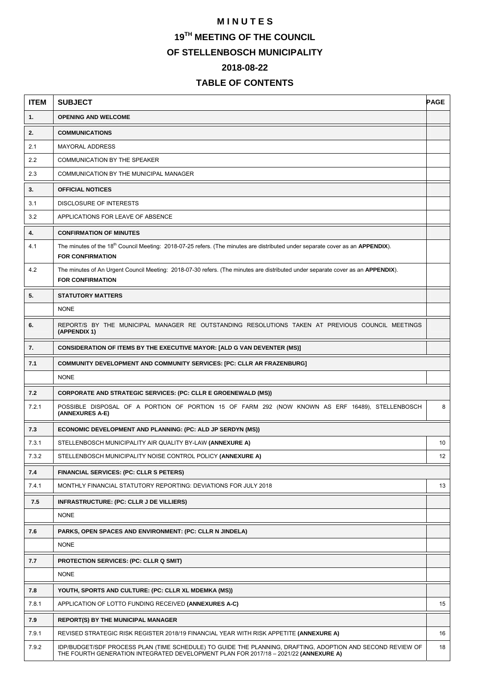# **M I N U T E S**

**19TH MEETING OF THE COUNCIL** 

**OF STELLENBOSCH MUNICIPALITY** 

# **2018-08-22**

# **TABLE OF CONTENTS**

| <b>ITEM</b> | <b>SUBJECT</b>                                                                                                                                                                                     | <b>PAGE</b>     |
|-------------|----------------------------------------------------------------------------------------------------------------------------------------------------------------------------------------------------|-----------------|
| 1.          | <b>OPENING AND WELCOME</b>                                                                                                                                                                         |                 |
| 2.          | <b>COMMUNICATIONS</b>                                                                                                                                                                              |                 |
| 2.1         | <b>MAYORAL ADDRESS</b>                                                                                                                                                                             |                 |
| 2.2         | COMMUNICATION BY THE SPEAKER                                                                                                                                                                       |                 |
| 2.3         | COMMUNICATION BY THE MUNICIPAL MANAGER                                                                                                                                                             |                 |
| 3.          | <b>OFFICIAL NOTICES</b>                                                                                                                                                                            |                 |
| 3.1         | DISCLOSURE OF INTERESTS                                                                                                                                                                            |                 |
| 3.2         | APPLICATIONS FOR LEAVE OF ABSENCE                                                                                                                                                                  |                 |
| 4.          | <b>CONFIRMATION OF MINUTES</b>                                                                                                                                                                     |                 |
| 4.1         | The minutes of the 18 <sup>th</sup> Council Meeting: 2018-07-25 refers. (The minutes are distributed under separate cover as an <b>APPENDIX</b> ).<br><b>FOR CONFIRMATION</b>                      |                 |
| 4.2         | The minutes of An Urgent Council Meeting: 2018-07-30 refers. (The minutes are distributed under separate cover as an APPENDIX).<br><b>FOR CONFIRMATION</b>                                         |                 |
| 5.          | <b>STATUTORY MATTERS</b>                                                                                                                                                                           |                 |
|             | <b>NONE</b>                                                                                                                                                                                        |                 |
| 6.          | REPORT/S BY THE MUNICIPAL MANAGER RE OUTSTANDING RESOLUTIONS TAKEN AT PREVIOUS COUNCIL MEETINGS<br>(APPENDIX 1)                                                                                    |                 |
| 7.          | <b>CONSIDERATION OF ITEMS BY THE EXECUTIVE MAYOR: [ALD G VAN DEVENTER (MS)]</b>                                                                                                                    |                 |
| 7.1         | <b>COMMUNITY DEVELOPMENT AND COMMUNITY SERVICES: [PC: CLLR AR FRAZENBURG]</b>                                                                                                                      |                 |
|             | <b>NONE</b>                                                                                                                                                                                        |                 |
| 7.2         | <b>CORPORATE AND STRATEGIC SERVICES: (PC: CLLR E GROENEWALD (MS))</b>                                                                                                                              |                 |
| 7.2.1       | POSSIBLE DISPOSAL OF A PORTION OF PORTION 15 OF FARM 292 (NOW KNOWN AS ERF 16489), STELLENBOSCH<br>(ANNEXURES A-E)                                                                                 | 8               |
| 7.3         | ECONOMIC DEVELOPMENT AND PLANNING: (PC: ALD JP SERDYN (MS))                                                                                                                                        |                 |
| 7.3.1       | STELLENBOSCH MUNICIPALITY AIR QUALITY BY-LAW (ANNEXURE A)                                                                                                                                          | 10              |
| 7.3.2       | STELLENBOSCH MUNICIPALITY NOISE CONTROL POLICY (ANNEXURE A)                                                                                                                                        | 12 <sup>2</sup> |
| 7.4         | <b>FINANCIAL SERVICES: (PC: CLLR S PETERS)</b>                                                                                                                                                     |                 |
| 7.4.1       | MONTHLY FINANCIAL STATUTORY REPORTING: DEVIATIONS FOR JULY 2018                                                                                                                                    | 13              |
| 7.5         | INFRASTRUCTURE: (PC: CLLR J DE VILLIERS)                                                                                                                                                           |                 |
|             | <b>NONE</b>                                                                                                                                                                                        |                 |
| 7.6         | PARKS, OPEN SPACES AND ENVIRONMENT: (PC: CLLR N JINDELA)                                                                                                                                           |                 |
|             | <b>NONE</b>                                                                                                                                                                                        |                 |
| 7.7         | <b>PROTECTION SERVICES: (PC: CLLR Q SMIT)</b>                                                                                                                                                      |                 |
|             | <b>NONE</b>                                                                                                                                                                                        |                 |
| 7.8         | YOUTH, SPORTS AND CULTURE: (PC: CLLR XL MDEMKA (MS))                                                                                                                                               |                 |
| 7.8.1       | APPLICATION OF LOTTO FUNDING RECEIVED (ANNEXURES A-C)                                                                                                                                              | 15              |
| 7.9         | <b>REPORT(S) BY THE MUNICIPAL MANAGER</b>                                                                                                                                                          |                 |
| 7.9.1       | REVISED STRATEGIC RISK REGISTER 2018/19 FINANCIAL YEAR WITH RISK APPETITE (ANNEXURE A)                                                                                                             | 16              |
| 7.9.2       | IDP/BUDGET/SDF PROCESS PLAN (TIME SCHEDULE) TO GUIDE THE PLANNING, DRAFTING, ADOPTION AND SECOND REVIEW OF<br>THE FOURTH GENERATION INTEGRATED DEVELOPMENT PLAN FOR 2017/18 - 2021/22 (ANNEXURE A) | 18              |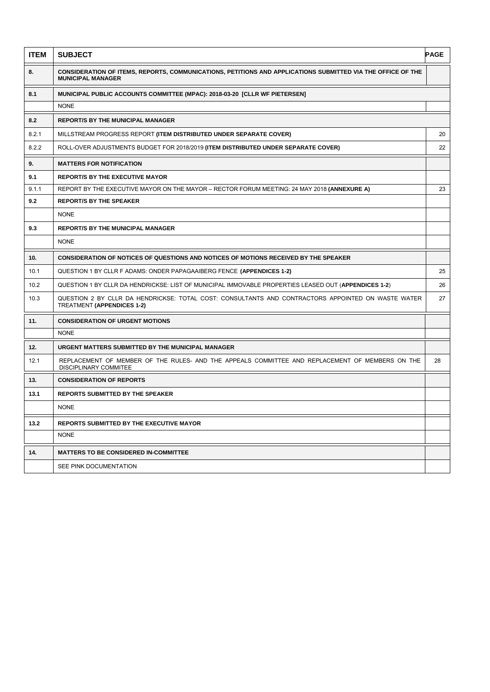| <b>ITEM</b> | <b>SUBJECT</b>                                                                                                                          | <b>PAGE</b> |
|-------------|-----------------------------------------------------------------------------------------------------------------------------------------|-------------|
| 8.          | CONSIDERATION OF ITEMS, REPORTS, COMMUNICATIONS, PETITIONS AND APPLICATIONS SUBMITTED VIA THE OFFICE OF THE<br><b>MUNICIPAL MANAGER</b> |             |
| 8.1         | MUNICIPAL PUBLIC ACCOUNTS COMMITTEE (MPAC): 2018-03-20 [CLLR WF PIETERSEN]                                                              |             |
|             | <b>NONE</b>                                                                                                                             |             |
| 8.2         | <b>REPORT/S BY THE MUNICIPAL MANAGER</b>                                                                                                |             |
| 8.2.1       | MILLSTREAM PROGRESS REPORT (ITEM DISTRIBUTED UNDER SEPARATE COVER)                                                                      | 20          |
| 8.2.2       | ROLL-OVER ADJUSTMENTS BUDGET FOR 2018/2019 (ITEM DISTRIBUTED UNDER SEPARATE COVER)                                                      | 22          |
| 9.          | <b>MATTERS FOR NOTIFICATION</b>                                                                                                         |             |
| 9.1         | <b>REPORT/S BY THE EXECUTIVE MAYOR</b>                                                                                                  |             |
| 9.1.1       | REPORT BY THE EXECUTIVE MAYOR ON THE MAYOR - RECTOR FORUM MEETING: 24 MAY 2018 (ANNEXURE A)                                             | 23          |
| 9.2         | <b>REPORT/S BY THE SPEAKER</b>                                                                                                          |             |
|             | <b>NONE</b>                                                                                                                             |             |
| 9.3         | <b>REPORT/S BY THE MUNICIPAL MANAGER</b>                                                                                                |             |
|             | <b>NONE</b>                                                                                                                             |             |
| 10.         | CONSIDERATION OF NOTICES OF QUESTIONS AND NOTICES OF MOTIONS RECEIVED BY THE SPEAKER                                                    |             |
| 10.1        | QUESTION 1 BY CLLR F ADAMS: ONDER PAPAGAAIBERG FENCE (APPENDICES 1-2)                                                                   | 25          |
| 10.2        | QUESTION 1 BY CLLR DA HENDRICKSE: LIST OF MUNICIPAL IMMOVABLE PROPERTIES LEASED OUT (APPENDICES 1-2)                                    | 26          |
| 10.3        | QUESTION 2 BY CLLR DA HENDRICKSE: TOTAL COST: CONSULTANTS AND CONTRACTORS APPOINTED ON WASTE WATER<br><b>TREATMENT (APPENDICES 1-2)</b> | 27          |
| 11.         | <b>CONSIDERATION OF URGENT MOTIONS</b>                                                                                                  |             |
|             | <b>NONE</b>                                                                                                                             |             |
| 12.         | URGENT MATTERS SUBMITTED BY THE MUNICIPAL MANAGER                                                                                       |             |
| 12.1        | REPLACEMENT OF MEMBER OF THE RULES- AND THE APPEALS COMMITTEE AND REPLACEMENT OF MEMBERS ON THE<br>DISCIPLINARY COMMITEE                | 28          |
| 13.         | <b>CONSIDERATION OF REPORTS</b>                                                                                                         |             |
| 13.1        | <b>REPORTS SUBMITTED BY THE SPEAKER</b>                                                                                                 |             |
|             | <b>NONE</b>                                                                                                                             |             |
| 13.2        | <b>REPORTS SUBMITTED BY THE EXECUTIVE MAYOR</b>                                                                                         |             |
|             | <b>NONE</b>                                                                                                                             |             |
| 14.         | <b>MATTERS TO BE CONSIDERED IN-COMMITTEE</b>                                                                                            |             |
|             | SEE PINK DOCUMENTATION                                                                                                                  |             |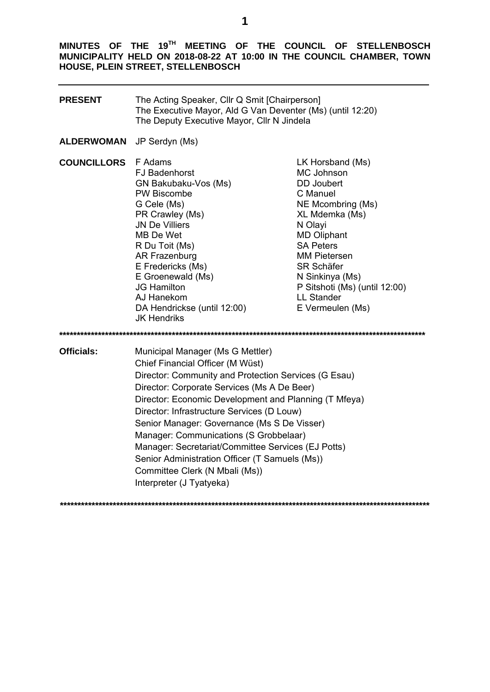**MINUTES OF THE 19TH MEETING OF THE COUNCIL OF STELLENBOSCH MUNICIPALITY HELD ON 2018-08-22 AT 10:00 IN THE COUNCIL CHAMBER, TOWN HOUSE, PLEIN STREET, STELLENBOSCH** 

| <b>PRESENT</b>     | The Acting Speaker, Cllr Q Smit [Chairperson]<br>The Executive Mayor, Ald G Van Deventer (Ms) (until 12:20)<br>The Deputy Executive Mayor, Cllr N Jindela                                                                                                                                                                                                                                                                                                                                                                                         |                                                                                                                                                                                                                                                                                                      |  |  |
|--------------------|---------------------------------------------------------------------------------------------------------------------------------------------------------------------------------------------------------------------------------------------------------------------------------------------------------------------------------------------------------------------------------------------------------------------------------------------------------------------------------------------------------------------------------------------------|------------------------------------------------------------------------------------------------------------------------------------------------------------------------------------------------------------------------------------------------------------------------------------------------------|--|--|
| ALDERWOMAN         | JP Serdyn (Ms)                                                                                                                                                                                                                                                                                                                                                                                                                                                                                                                                    |                                                                                                                                                                                                                                                                                                      |  |  |
| <b>COUNCILLORS</b> | F Adams<br><b>FJ Badenhorst</b><br>GN Bakubaku-Vos (Ms)<br><b>PW Biscombe</b><br>G Cele (Ms)<br>PR Crawley (Ms)<br><b>JN De Villiers</b><br>MB De Wet<br>R Du Toit (Ms)<br>AR Frazenburg<br>E Fredericks (Ms)<br>E Groenewald (Ms)<br><b>JG Hamilton</b><br>AJ Hanekom<br>DA Hendrickse (until 12:00)<br>JK Hendriks                                                                                                                                                                                                                              | LK Horsband (Ms)<br>MC Johnson<br><b>DD</b> Joubert<br>C Manuel<br>NE Mcombring (Ms)<br>XL Mdemka (Ms)<br>N Olayi<br><b>MD Oliphant</b><br><b>SA Peters</b><br><b>MM Pietersen</b><br><b>SR Schäfer</b><br>N Sinkinya (Ms)<br>P Sitshoti (Ms) (until 12:00)<br><b>LL Stander</b><br>E Vermeulen (Ms) |  |  |
|                    |                                                                                                                                                                                                                                                                                                                                                                                                                                                                                                                                                   |                                                                                                                                                                                                                                                                                                      |  |  |
| <b>Officials:</b>  | Municipal Manager (Ms G Mettler)<br>Chief Financial Officer (M Wüst)<br>Director: Community and Protection Services (G Esau)<br>Director: Corporate Services (Ms A De Beer)<br>Director: Economic Development and Planning (T Mfeya)<br>Director: Infrastructure Services (D Louw)<br>Senior Manager: Governance (Ms S De Visser)<br>Manager: Communications (S Grobbelaar)<br>Manager: Secretariat/Committee Services (EJ Potts)<br>Senior Administration Officer (T Samuels (Ms))<br>Committee Clerk (N Mbali (Ms))<br>Interpreter (J Tyatyeka) |                                                                                                                                                                                                                                                                                                      |  |  |
|                    |                                                                                                                                                                                                                                                                                                                                                                                                                                                                                                                                                   |                                                                                                                                                                                                                                                                                                      |  |  |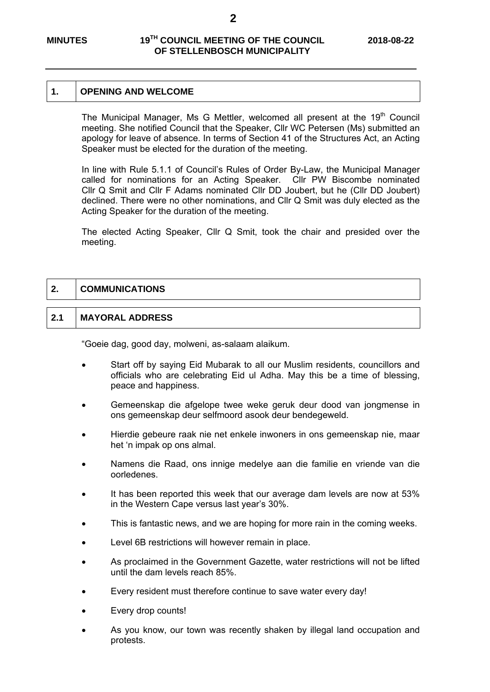#### **1. OPENING AND WELCOME**

The Municipal Manager, Ms G Mettler, welcomed all present at the 19<sup>th</sup> Council meeting. She notified Council that the Speaker, Cllr WC Petersen (Ms) submitted an apology for leave of absence. In terms of Section 41 of the Structures Act, an Acting Speaker must be elected for the duration of the meeting.

 In line with Rule 5.1.1 of Council's Rules of Order By-Law, the Municipal Manager called for nominations for an Acting Speaker. Cllr PW Biscombe nominated Cllr Q Smit and Cllr F Adams nominated Cllr DD Joubert, but he (Cllr DD Joubert) declined. There were no other nominations, and Cllr Q Smit was duly elected as the Acting Speaker for the duration of the meeting.

The elected Acting Speaker, Cllr Q Smit, took the chair and presided over the meeting.

### **2. COMMUNICATIONS**

### **2.1 MAYORAL ADDRESS**

"Goeie dag, good day, molweni, as-salaam alaikum.

- Start off by saying Eid Mubarak to all our Muslim residents, councillors and officials who are celebrating Eid ul Adha. May this be a time of blessing, peace and happiness.
- Gemeenskap die afgelope twee weke geruk deur dood van jongmense in ons gemeenskap deur selfmoord asook deur bendegeweld.
- Hierdie gebeure raak nie net enkele inwoners in ons gemeenskap nie, maar het 'n impak op ons almal.
- Namens die Raad, ons innige medelye aan die familie en vriende van die oorledenes.
- It has been reported this week that our average dam levels are now at 53% in the Western Cape versus last year's 30%.
- This is fantastic news, and we are hoping for more rain in the coming weeks.
- Level 6B restrictions will however remain in place.
- As proclaimed in the Government Gazette, water restrictions will not be lifted until the dam levels reach 85%.
- Every resident must therefore continue to save water every day!
- Every drop counts!
- As you know, our town was recently shaken by illegal land occupation and protests.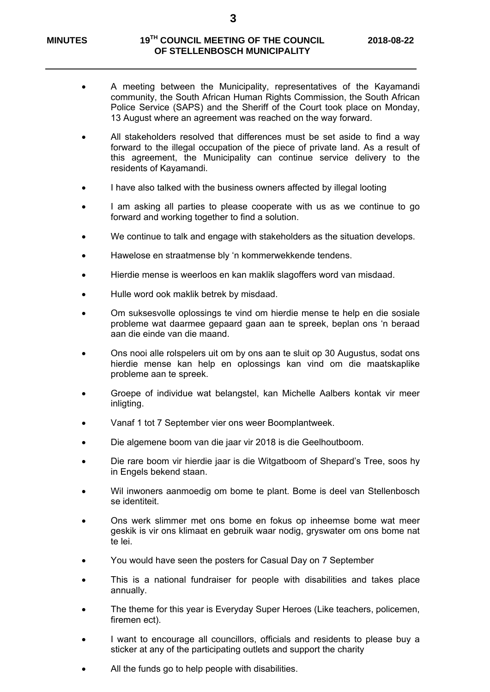- A meeting between the Municipality, representatives of the Kayamandi community, the South African Human Rights Commission, the South African Police Service (SAPS) and the Sheriff of the Court took place on Monday, 13 August where an agreement was reached on the way forward.
- All stakeholders resolved that differences must be set aside to find a way forward to the illegal occupation of the piece of private land. As a result of this agreement, the Municipality can continue service delivery to the residents of Kayamandi.
- I have also talked with the business owners affected by illegal looting
- I am asking all parties to please cooperate with us as we continue to go forward and working together to find a solution.
- We continue to talk and engage with stakeholders as the situation develops.
- Hawelose en straatmense bly 'n kommerwekkende tendens.
- Hierdie mense is weerloos en kan maklik slagoffers word van misdaad.
- Hulle word ook maklik betrek by misdaad.
- Om suksesvolle oplossings te vind om hierdie mense te help en die sosiale probleme wat daarmee gepaard gaan aan te spreek, beplan ons 'n beraad aan die einde van die maand.
- Ons nooi alle rolspelers uit om by ons aan te sluit op 30 Augustus, sodat ons hierdie mense kan help en oplossings kan vind om die maatskaplike probleme aan te spreek.
- Groepe of individue wat belangstel, kan Michelle Aalbers kontak vir meer inligting.
- Vanaf 1 tot 7 September vier ons weer Boomplantweek.
- Die algemene boom van die jaar vir 2018 is die Geelhoutboom.
- Die rare boom vir hierdie jaar is die Witgatboom of Shepard's Tree, soos hy in Engels bekend staan.
- Wil inwoners aanmoedig om bome te plant. Bome is deel van Stellenbosch se identiteit.
- Ons werk slimmer met ons bome en fokus op inheemse bome wat meer geskik is vir ons klimaat en gebruik waar nodig, gryswater om ons bome nat te lei.
- You would have seen the posters for Casual Day on 7 September
- This is a national fundraiser for people with disabilities and takes place annually.
- The theme for this year is Everyday Super Heroes (Like teachers, policemen, firemen ect).
- I want to encourage all councillors, officials and residents to please buy a sticker at any of the participating outlets and support the charity
- All the funds go to help people with disabilities.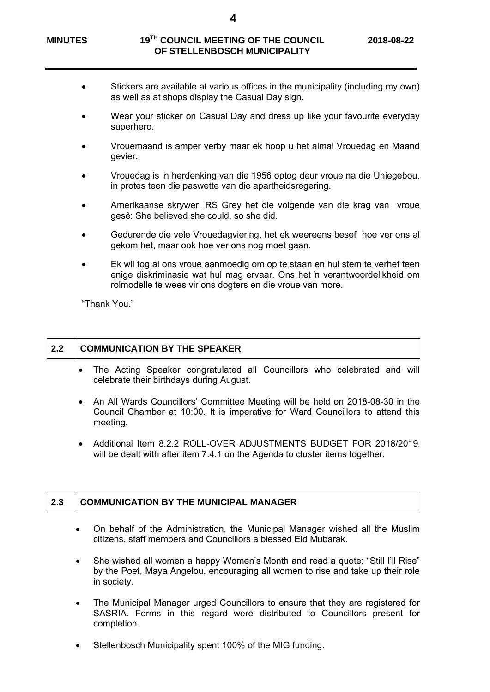- Stickers are available at various offices in the municipality (including my own) as well as at shops display the Casual Day sign.
- Wear your sticker on Casual Day and dress up like your favourite everyday superhero.
- Vrouemaand is amper verby maar ek hoop u het almal Vrouedag en Maand gevier.
- Vrouedag is 'n herdenking van die 1956 optog deur vroue na die Uniegebou, in protes teen die paswette van die apartheidsregering.
- Amerikaanse skrywer, RS Grey het die volgende van die krag van vroue gesê: She believed she could, so she did.
- Gedurende die vele Vrouedagviering, het ek weereens besef hoe ver ons al gekom het, maar ook hoe ver ons nog moet gaan.
- Ek wil tog al ons vroue aanmoedig om op te staan en hul stem te verhef teen enige diskriminasie wat hul mag ervaar. Ons het 'n verantwoordelikheid om rolmodelle te wees vir ons dogters en die vroue van more.

"Thank You."

## **2.2 COMMUNICATION BY THE SPEAKER**

- The Acting Speaker congratulated all Councillors who celebrated and will celebrate their birthdays during August.
- An All Wards Councillors' Committee Meeting will be held on 2018-08-30 in the Council Chamber at 10:00. It is imperative for Ward Councillors to attend this meeting.
- Additional Item 8.2.2 ROLL-OVER ADJUSTMENTS BUDGET FOR 2018/2019, will be dealt with after item 7.4.1 on the Agenda to cluster items together.

### **2.3 COMMUNICATION BY THE MUNICIPAL MANAGER**

- On behalf of the Administration, the Municipal Manager wished all the Muslim citizens, staff members and Councillors a blessed Eid Mubarak.
- She wished all women a happy Women's Month and read a quote: "Still I'll Rise" by the Poet, Maya Angelou, encouraging all women to rise and take up their role in society.
- The Municipal Manager urged Councillors to ensure that they are registered for SASRIA. Forms in this regard were distributed to Councillors present for completion.
- Stellenbosch Municipality spent 100% of the MIG funding.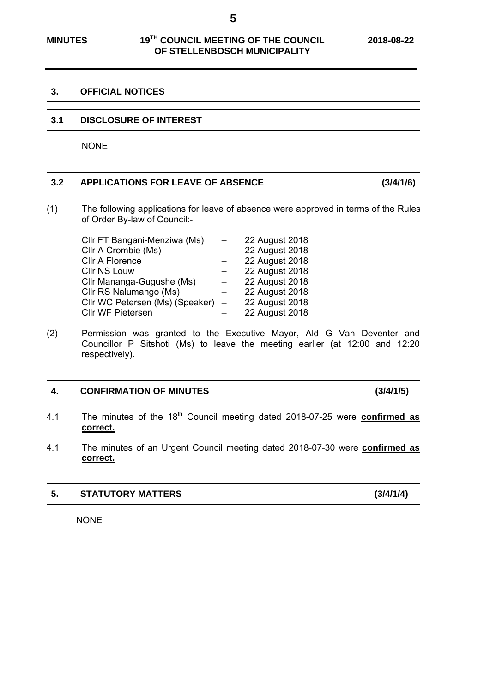**5** 

#### **3. OFFICIAL NOTICES**

#### **3.1 DISCLOSURE OF INTEREST**

NONE

# **3.2 APPLICATIONS FOR LEAVE OF ABSENCE (3/4/1/6)**

(1) The following applications for leave of absence were approved in terms of the Rules of Order By-law of Council:-

| Cllr FT Bangani-Menziwa (Ms)    | 22 August 2018 |
|---------------------------------|----------------|
| Cllr A Crombie (Ms)             | 22 August 2018 |
| <b>CIIr A Florence</b>          | 22 August 2018 |
| <b>CIIr NS Louw</b>             | 22 August 2018 |
| Cllr Mananga-Gugushe (Ms)       | 22 August 2018 |
| Cllr RS Nalumango (Ms)          | 22 August 2018 |
| Cllr WC Petersen (Ms) (Speaker) | 22 August 2018 |
| Cllr WF Pietersen               | 22 August 2018 |

(2) Permission was granted to the Executive Mayor, Ald G Van Deventer and Councillor P Sitshoti (Ms) to leave the meeting earlier (at 12:00 and 12:20 respectively).

| 4. | CONFIRMATION OF MINUTES                                                                                   | (3/4/1/5) |
|----|-----------------------------------------------------------------------------------------------------------|-----------|
| 41 | The minutes of the 18 <sup>th</sup> Council meeting dated 2018-07-25 were <b>confirmed as</b><br>correct. |           |

4.1 The minutes of an Urgent Council meeting dated 2018-07-30 were **confirmed as correct.** 

| l 5. | STATUTORY MATTERS | (3/4/1/4) |
|------|-------------------|-----------|
|      |                   |           |

NONE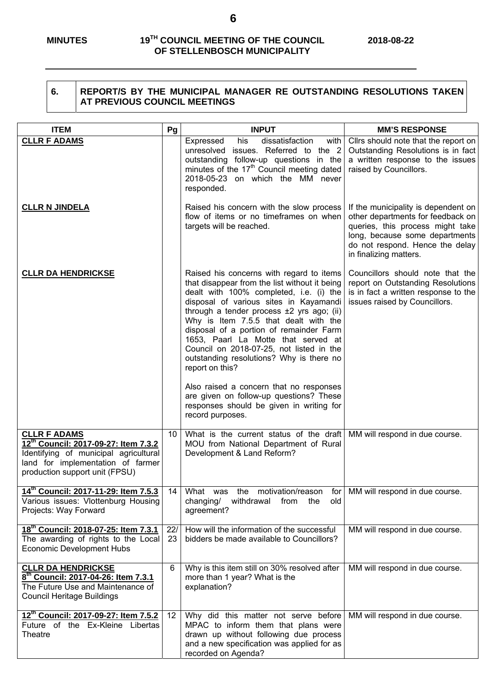#### **6. REPORT/S BY THE MUNICIPAL MANAGER RE OUTSTANDING RESOLUTIONS TAKEN AT PREVIOUS COUNCIL MEETINGS**

| <b>ITEM</b>                                                                                                                                                                 | Pg        | <b>INPUT</b>                                                                                                                                                                                                                                                                                                                                                                                                                                                                                                                                                                                                                 | <b>MM'S RESPONSE</b>                                                                                                                                                                                        |
|-----------------------------------------------------------------------------------------------------------------------------------------------------------------------------|-----------|------------------------------------------------------------------------------------------------------------------------------------------------------------------------------------------------------------------------------------------------------------------------------------------------------------------------------------------------------------------------------------------------------------------------------------------------------------------------------------------------------------------------------------------------------------------------------------------------------------------------------|-------------------------------------------------------------------------------------------------------------------------------------------------------------------------------------------------------------|
| <b>CLLR F ADAMS</b>                                                                                                                                                         |           | his<br>dissatisfaction<br>Expressed<br>with  <br>unresolved issues. Referred to the 2<br>outstanding follow-up questions in the<br>minutes of the 17 <sup>th</sup> Council meeting dated<br>2018-05-23 on which the MM never<br>responded.                                                                                                                                                                                                                                                                                                                                                                                   | Cllrs should note that the report on<br>Outstanding Resolutions is in fact<br>a written response to the issues<br>raised by Councillors.                                                                    |
| <b>CLLR N JINDELA</b>                                                                                                                                                       |           | Raised his concern with the slow process<br>flow of items or no timeframes on when<br>targets will be reached.                                                                                                                                                                                                                                                                                                                                                                                                                                                                                                               | If the municipality is dependent on<br>other departments for feedback on<br>queries, this process might take<br>long, because some departments<br>do not respond. Hence the delay<br>in finalizing matters. |
| <b>CLLR DA HENDRICKSE</b>                                                                                                                                                   |           | Raised his concerns with regard to items<br>that disappear from the list without it being<br>dealt with 100% completed, i.e. (i) the<br>disposal of various sites in Kayamandi<br>through a tender process $\pm 2$ yrs ago; (ii)<br>Why is Item 7.5.5 that dealt with the<br>disposal of a portion of remainder Farm<br>1653, Paarl La Motte that served at<br>Council on 2018-07-25, not listed in the<br>outstanding resolutions? Why is there no<br>report on this?<br>Also raised a concern that no responses<br>are given on follow-up questions? These<br>responses should be given in writing for<br>record purposes. | Councillors should note that the<br>report on Outstanding Resolutions<br>is in fact a written response to the<br>issues raised by Councillors.                                                              |
| <b>CLLR F ADAMS</b><br>12th Council: 2017-09-27: Item 7.3.2<br>Identifying of municipal agricultural<br>land for implementation of farmer<br>production support unit (FPSU) | 10        | What is the current status of the draft<br>MOU from National Department of Rural<br>Development & Land Reform?                                                                                                                                                                                                                                                                                                                                                                                                                                                                                                               | MM will respond in due course.                                                                                                                                                                              |
| 14th Council: 2017-11-29: Item 7.5.3<br>Various issues: Vlottenburg Housing<br>Projects: Way Forward                                                                        | 14        | What was the motivation/reason<br>withdrawal<br>changing/<br>from<br>the<br>old<br>agreement?                                                                                                                                                                                                                                                                                                                                                                                                                                                                                                                                | for   MM will respond in due course.                                                                                                                                                                        |
| 18th Council: 2018-07-25: Item 7.3.1<br>The awarding of rights to the Local<br><b>Economic Development Hubs</b>                                                             | 22/<br>23 | How will the information of the successful<br>bidders be made available to Councillors?                                                                                                                                                                                                                                                                                                                                                                                                                                                                                                                                      | MM will respond in due course.                                                                                                                                                                              |
| <b>CLLR DA HENDRICKSE</b><br>8th Council: 2017-04-26: Item 7.3.1<br>The Future Use and Maintenance of<br><b>Council Heritage Buildings</b>                                  | 6         | Why is this item still on 30% resolved after<br>more than 1 year? What is the<br>explanation?                                                                                                                                                                                                                                                                                                                                                                                                                                                                                                                                | MM will respond in due course.                                                                                                                                                                              |
| 12th Council: 2017-09-27: Item 7.5.2<br>Future of the Ex-Kleine Libertas<br>Theatre                                                                                         | 12        | Why did this matter not serve before<br>MPAC to inform them that plans were<br>drawn up without following due process<br>and a new specification was applied for as<br>recorded on Agenda?                                                                                                                                                                                                                                                                                                                                                                                                                                   | MM will respond in due course.                                                                                                                                                                              |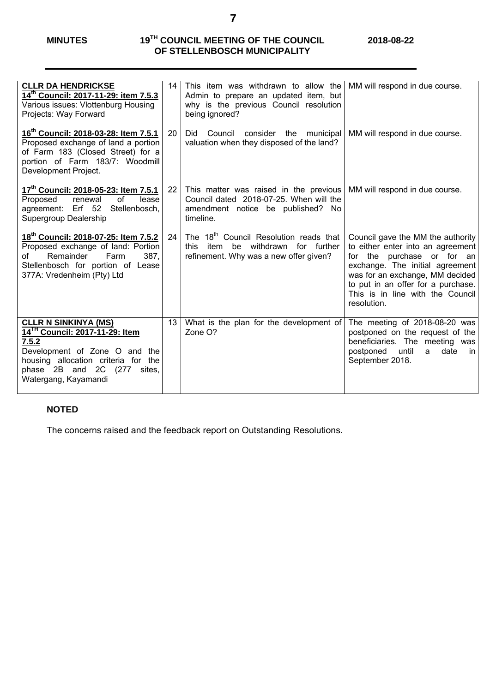| <b>CLLR DA HENDRICKSE</b><br>14th Council: 2017-11-29: item 7.5.3<br>Various issues: Vlottenburg Housing<br>Projects: Way Forward                                                                                    | 14                | This item was withdrawn to allow the<br>Admin to prepare an updated item, but<br>why is the previous Council resolution<br>being ignored? | MM will respond in due course.                                                                                                                                                                                                                                      |
|----------------------------------------------------------------------------------------------------------------------------------------------------------------------------------------------------------------------|-------------------|-------------------------------------------------------------------------------------------------------------------------------------------|---------------------------------------------------------------------------------------------------------------------------------------------------------------------------------------------------------------------------------------------------------------------|
| 16 <sup>th</sup> Council: 2018-03-28: Item 7.5.1<br>Proposed exchange of land a portion<br>of Farm 183 (Closed Street) for a<br>portion of Farm 183/7: Woodmill<br>Development Project.                              | 20                | Council consider the municipal<br>Did<br>valuation when they disposed of the land?                                                        | MM will respond in due course.                                                                                                                                                                                                                                      |
| 17th Council: 2018-05-23: Item 7.5.1<br>of<br>renewal<br>lease<br>Proposed<br>agreement: Erf 52 Stellenbosch,<br>Supergroup Dealership                                                                               | $22 \overline{ }$ | This matter was raised in the previous<br>Council dated 2018-07-25. When will the<br>amendment notice be published? No<br>timeline.       | MM will respond in due course.                                                                                                                                                                                                                                      |
| 18 <sup>th</sup> Council: 2018-07-25: Item 7.5.2<br>Proposed exchange of land: Portion<br>Remainder<br>387.<br>Farm<br>Ωf<br>Stellenbosch for portion of Lease<br>377A: Vredenheim (Pty) Ltd                         | 24                | The 18 <sup>th</sup> Council Resolution reads that<br>be withdrawn for further<br>item<br>this<br>refinement. Why was a new offer given?  | Council gave the MM the authority<br>to either enter into an agreement<br>for the purchase or for an<br>exchange. The initial agreement<br>was for an exchange, MM decided<br>to put in an offer for a purchase.<br>This is in line with the Council<br>resolution. |
| <b>CLLR N SINKINYA (MS)</b><br>14 <sup>TH</sup> Council: 2017-11-29: Item<br>7.5.2<br>Development of Zone O and the<br>housing allocation criteria for the<br>phase 2B and 2C (277<br>sites.<br>Watergang, Kayamandi | 13 <sup>2</sup>   | What is the plan for the development of<br>Zone O?                                                                                        | The meeting of 2018-08-20 was<br>postponed on the request of the<br>beneficiaries. The meeting was<br>until<br>date<br>postponed<br>in<br>a<br>September 2018.                                                                                                      |

## **NOTED**

The concerns raised and the feedback report on Outstanding Resolutions.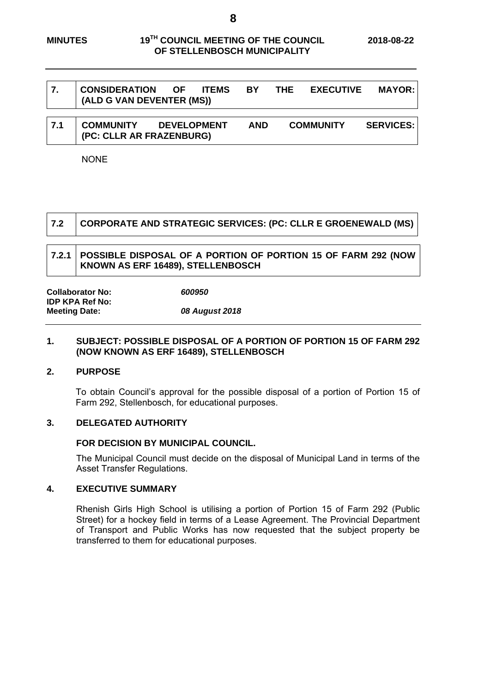٦

|     | <b>CONSIDERATION OF ITEMS</b><br>(ALD G VAN DEVENTER (MS)) |                    | <b>BY</b>  | THE | <b>EXECUTIVE</b> | <b>MAYOR:</b>    |
|-----|------------------------------------------------------------|--------------------|------------|-----|------------------|------------------|
| 7.1 | <b>COMMUNITY</b><br>(PC: CLLR AR FRAZENBURG)               | <b>DEVELOPMENT</b> | <b>AND</b> |     | <b>COMMUNITY</b> | <b>SERVICES:</b> |

NONE

| 7.2 | CORPORATE AND STRATEGIC SERVICES: (PC: CLLR E GROENEWALD (MS)                                              |
|-----|------------------------------------------------------------------------------------------------------------|
|     | 7.2.1   POSSIBLE DISPOSAL OF A PORTION OF PORTION 15 OF FARM 292 (NOW<br>KNOWN AS ERF 16489), STELLENBOSCH |
|     |                                                                                                            |

| <b>Collaborator No:</b> | 600950         |
|-------------------------|----------------|
| <b>IDP KPA Ref No:</b>  |                |
| <b>Meeting Date:</b>    | 08 August 2018 |

#### **1. SUBJECT: POSSIBLE DISPOSAL OF A PORTION OF PORTION 15 OF FARM 292 (NOW KNOWN AS ERF 16489), STELLENBOSCH**

#### **2. PURPOSE**

 $\Gamma$ 

┱

To obtain Council's approval for the possible disposal of a portion of Portion 15 of Farm 292, Stellenbosch, for educational purposes.

#### **3. DELEGATED AUTHORITY**

#### **FOR DECISION BY MUNICIPAL COUNCIL.**

The Municipal Council must decide on the disposal of Municipal Land in terms of the Asset Transfer Regulations.

#### **4. EXECUTIVE SUMMARY**

Rhenish Girls High School is utilising a portion of Portion 15 of Farm 292 (Public Street) for a hockey field in terms of a Lease Agreement. The Provincial Department of Transport and Public Works has now requested that the subject property be transferred to them for educational purposes.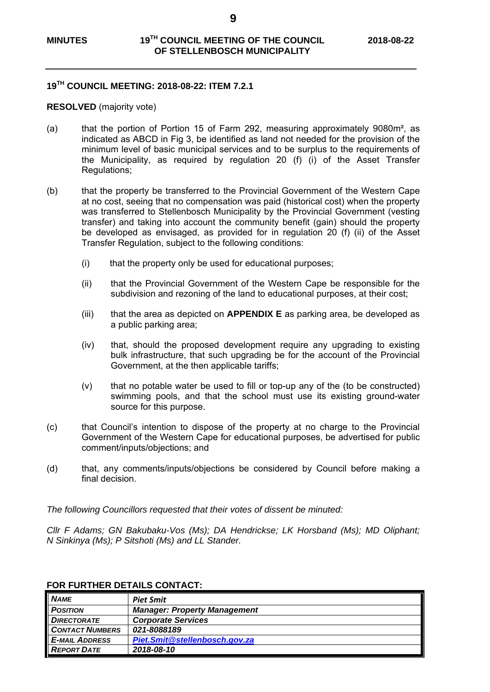**9** 

## **19TH COUNCIL MEETING: 2018-08-22: ITEM 7.2.1**

#### **RESOLVED** (majority vote)

- (a) that the portion of Portion 15 of Farm 292, measuring approximately 9080m², as indicated as ABCD in Fig 3, be identified as land not needed for the provision of the minimum level of basic municipal services and to be surplus to the requirements of the Municipality, as required by regulation 20 (f) (i) of the Asset Transfer Regulations;
- (b) that the property be transferred to the Provincial Government of the Western Cape at no cost, seeing that no compensation was paid (historical cost) when the property was transferred to Stellenbosch Municipality by the Provincial Government (vesting transfer) and taking into account the community benefit (gain) should the property be developed as envisaged, as provided for in regulation 20 (f) (ii) of the Asset Transfer Regulation, subject to the following conditions:
	- (i) that the property only be used for educational purposes;
	- (ii) that the Provincial Government of the Western Cape be responsible for the subdivision and rezoning of the land to educational purposes, at their cost;
	- (iii) that the area as depicted on **APPENDIX E** as parking area, be developed as a public parking area;
	- (iv) that, should the proposed development require any upgrading to existing bulk infrastructure, that such upgrading be for the account of the Provincial Government, at the then applicable tariffs;
	- (v) that no potable water be used to fill or top-up any of the (to be constructed) swimming pools, and that the school must use its existing ground-water source for this purpose.
- (c) that Council's intention to dispose of the property at no charge to the Provincial Government of the Western Cape for educational purposes, be advertised for public comment/inputs/objections; and
- (d) that, any comments/inputs/objections be considered by Council before making a final decision.

*The following Councillors requested that their votes of dissent be minuted:* 

*Cllr F Adams; GN Bakubaku-Vos (Ms); DA Hendrickse; LK Horsband (Ms); MD Oliphant; N Sinkinya (Ms); P Sitshoti (Ms) and LL Stander.* 

| <b>NAME</b>                | <b>Piet Smit</b>                    |
|----------------------------|-------------------------------------|
| <b>POSITION</b>            | <b>Manager: Property Management</b> |
| <b>DIRECTORATE</b>         | <b>Corporate Services</b>           |
| <b>CONTACT NUMBERS</b>     | 021-8088189                         |
| <b>E-MAIL ADDRESS</b>      | Piet.Smit@stellenbosch.gov.za       |
| $\blacksquare$ REPORT DATE | 2018-08-10                          |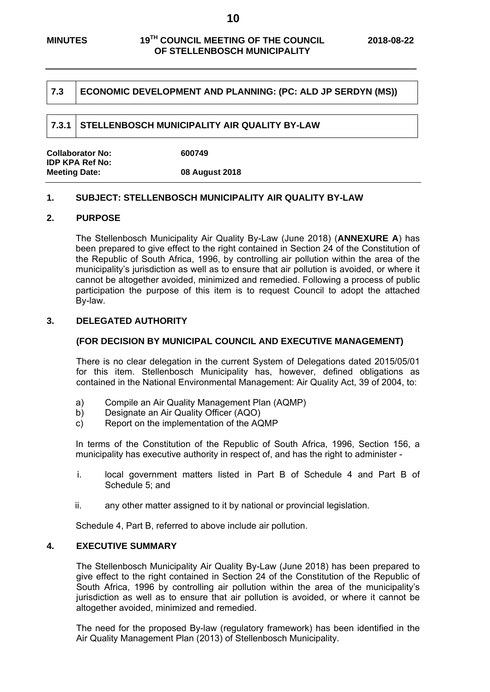#### **7.3 ECONOMIC DEVELOPMENT AND PLANNING: (PC: ALD JP SERDYN (MS))**

#### **7.3.1 STELLENBOSCH MUNICIPALITY AIR QUALITY BY-LAW**

| <b>Collaborator No:</b> | 600749         |  |
|-------------------------|----------------|--|
| <b>IDP KPA Ref No:</b>  |                |  |
| <b>Meeting Date:</b>    | 08 August 2018 |  |

#### **1. SUBJECT: STELLENBOSCH MUNICIPALITY AIR QUALITY BY-LAW**

#### **2. PURPOSE**

The Stellenbosch Municipality Air Quality By-Law (June 2018) (**ANNEXURE A**) has been prepared to give effect to the right contained in Section 24 of the Constitution of the Republic of South Africa, 1996, by controlling air pollution within the area of the municipality's jurisdiction as well as to ensure that air pollution is avoided, or where it cannot be altogether avoided, minimized and remedied. Following a process of public participation the purpose of this item is to request Council to adopt the attached By-law.

#### **3. DELEGATED AUTHORITY**

#### **(FOR DECISION BY MUNICIPAL COUNCIL AND EXECUTIVE MANAGEMENT)**

There is no clear delegation in the current System of Delegations dated 2015/05/01 for this item. Stellenbosch Municipality has, however, defined obligations as contained in the National Environmental Management: Air Quality Act, 39 of 2004, to:

- a) Compile an Air Quality Management Plan (AQMP)
- b) Designate an Air Quality Officer (AQO)
- c) Report on the implementation of the AQMP

In terms of the Constitution of the Republic of South Africa, 1996, Section 156, a municipality has executive authority in respect of, and has the right to administer -

- i. local government matters listed in Part B of Schedule 4 and Part B of Schedule 5; and
- ii. any other matter assigned to it by national or provincial legislation.

Schedule 4, Part B, referred to above include air pollution.

#### **4. EXECUTIVE SUMMARY**

The Stellenbosch Municipality Air Quality By-Law (June 2018) has been prepared to give effect to the right contained in Section 24 of the Constitution of the Republic of South Africa, 1996 by controlling air pollution within the area of the municipality's jurisdiction as well as to ensure that air pollution is avoided, or where it cannot be altogether avoided, minimized and remedied.

The need for the proposed By-law (regulatory framework) has been identified in the Air Quality Management Plan (2013) of Stellenbosch Municipality.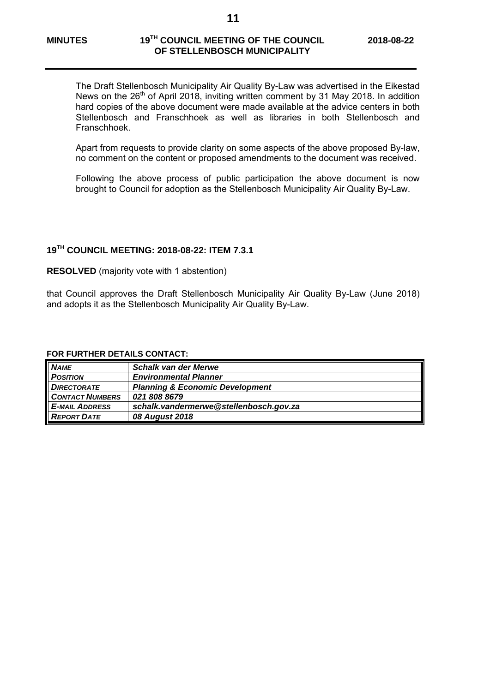The Draft Stellenbosch Municipality Air Quality By-Law was advertised in the Eikestad News on the  $26<sup>th</sup>$  of April 2018, inviting written comment by 31 May 2018. In addition hard copies of the above document were made available at the advice centers in both Stellenbosch and Franschhoek as well as libraries in both Stellenbosch and Franschhoek.

Apart from requests to provide clarity on some aspects of the above proposed By-law, no comment on the content or proposed amendments to the document was received.

Following the above process of public participation the above document is now brought to Council for adoption as the Stellenbosch Municipality Air Quality By-Law.

## **19TH COUNCIL MEETING: 2018-08-22: ITEM 7.3.1**

**RESOLVED** (majority vote with 1 abstention)

that Council approves the Draft Stellenbosch Municipality Air Quality By-Law (June 2018) and adopts it as the Stellenbosch Municipality Air Quality By-Law.

| <b>NAME</b>            | <b>Schalk van der Merwe</b>                |
|------------------------|--------------------------------------------|
| <b>POSITION</b>        | <b>Environmental Planner</b>               |
| <b>DIRECTORATE</b>     | <b>Planning &amp; Economic Development</b> |
| <b>CONTACT NUMBERS</b> | 021 808 8679                               |
| <b>E-MAIL ADDRESS</b>  | schalk.vandermerwe@stellenbosch.gov.za     |
| <b>REPORT DATE</b>     | 08 August 2018                             |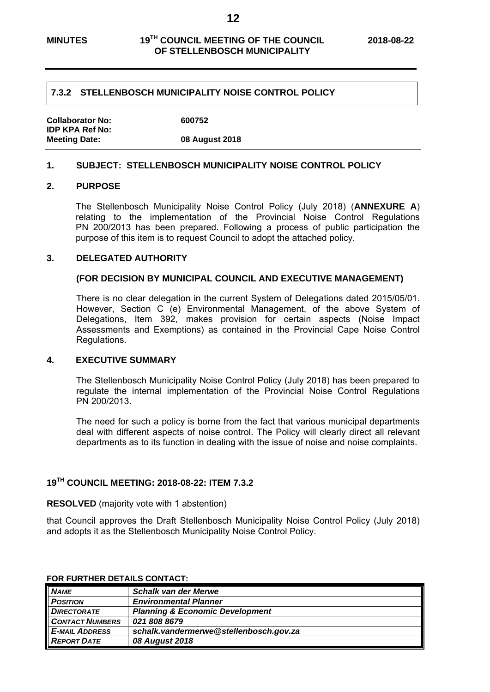#### **7.3.2 STELLENBOSCH MUNICIPALITY NOISE CONTROL POLICY**

| <b>Collaborator No:</b> | 600752         |
|-------------------------|----------------|
| <b>IDP KPA Ref No:</b>  |                |
| <b>Meeting Date:</b>    | 08 August 2018 |

#### **1. SUBJECT: STELLENBOSCH MUNICIPALITY NOISE CONTROL POLICY**

#### **2. PURPOSE**

The Stellenbosch Municipality Noise Control Policy (July 2018) (**ANNEXURE A**) relating to the implementation of the Provincial Noise Control Regulations PN 200/2013 has been prepared. Following a process of public participation the purpose of this item is to request Council to adopt the attached policy.

#### **3. DELEGATED AUTHORITY**

#### **(FOR DECISION BY MUNICIPAL COUNCIL AND EXECUTIVE MANAGEMENT)**

There is no clear delegation in the current System of Delegations dated 2015/05/01. However, Section C (e) Environmental Management, of the above System of Delegations, Item 392, makes provision for certain aspects (Noise Impact Assessments and Exemptions) as contained in the Provincial Cape Noise Control Regulations.

#### **4. EXECUTIVE SUMMARY**

The Stellenbosch Municipality Noise Control Policy (July 2018) has been prepared to regulate the internal implementation of the Provincial Noise Control Regulations PN 200/2013.

The need for such a policy is borne from the fact that various municipal departments deal with different aspects of noise control. The Policy will clearly direct all relevant departments as to its function in dealing with the issue of noise and noise complaints.

## **19TH COUNCIL MEETING: 2018-08-22: ITEM 7.3.2**

#### **RESOLVED** (majority vote with 1 abstention)

that Council approves the Draft Stellenbosch Municipality Noise Control Policy (July 2018) and adopts it as the Stellenbosch Municipality Noise Control Policy.

| <b>NAME</b>            | <b>Schalk van der Merwe</b>                |
|------------------------|--------------------------------------------|
| <b>POSITION</b>        | <b>Environmental Planner</b>               |
| <b>DIRECTORATE</b>     | <b>Planning &amp; Economic Development</b> |
| <b>CONTACT NUMBERS</b> | 021 808 8679                               |
| <b>E-MAIL ADDRESS</b>  | schalk.vandermerwe@stellenbosch.gov.za     |
| <b>REPORT DATE</b>     | 08 August 2018                             |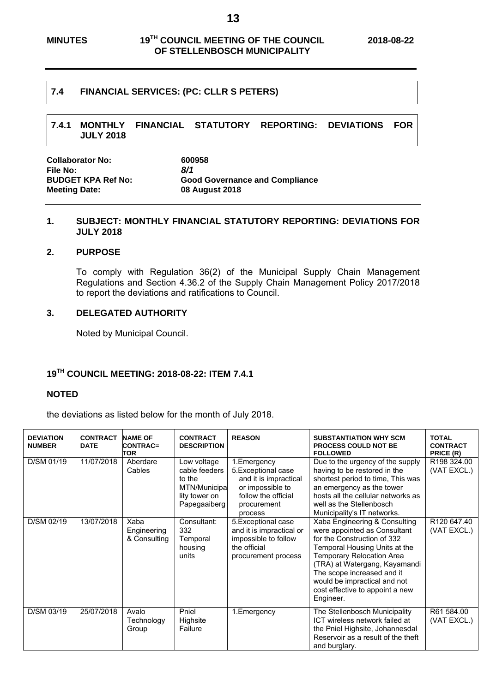| 7.4 |                  | <b>FINANCIAL SERVICES: (PC: CLLR S PETERS)</b> |                                                                           |  |
|-----|------------------|------------------------------------------------|---------------------------------------------------------------------------|--|
|     | <b>JULY 2018</b> |                                                | $\mid$ 7.4.1 $\mid$ MONTHLY FINANCIAL STATUTORY REPORTING: DEVIATIONS FOR |  |

| <b>Collaborator No:</b>   | 600958                                |
|---------------------------|---------------------------------------|
| File No:                  | 8/1                                   |
| <b>BUDGET KPA Ref No:</b> | <b>Good Governance and Compliance</b> |
| <b>Meeting Date:</b>      | <b>08 August 2018</b>                 |

# **1. SUBJECT: MONTHLY FINANCIAL STATUTORY REPORTING: DEVIATIONS FOR JULY 2018**

### **2. PURPOSE**

To comply with Regulation 36(2) of the Municipal Supply Chain Management Regulations and Section 4.36.2 of the Supply Chain Management Policy 2017/2018 to report the deviations and ratifications to Council.

# **3. DELEGATED AUTHORITY**

Noted by Municipal Council.

# **19TH COUNCIL MEETING: 2018-08-22: ITEM 7.4.1**

# **NOTED**

the deviations as listed below for the month of July 2018.

| <b>DEVIATION</b><br><b>NUMBER</b> | <b>CONTRACT</b><br><b>DATE</b> | <b>NAME OF</b><br><b>CONTRAC=</b><br>TOR | <b>CONTRACT</b><br><b>DESCRIPTION</b>                                                   | <b>REASON</b>                                                                                                                     | <b>SUBSTANTIATION WHY SCM</b><br><b>PROCESS COULD NOT BE</b><br><b>FOLLOWED</b>                                                                                                                                                                                                                           | <b>TOTAL</b><br><b>CONTRACT</b><br>PRICE (R) |
|-----------------------------------|--------------------------------|------------------------------------------|-----------------------------------------------------------------------------------------|-----------------------------------------------------------------------------------------------------------------------------------|-----------------------------------------------------------------------------------------------------------------------------------------------------------------------------------------------------------------------------------------------------------------------------------------------------------|----------------------------------------------|
| D/SM 01/19                        | 11/07/2018                     | Aberdare<br>Cables                       | Low voltage<br>cable feeders<br>to the<br>MTN/Municipa<br>lity tower on<br>Papegaaiberg | 1. Emergency<br>5. Exceptional case<br>and it is impractical<br>or impossible to<br>follow the official<br>procurement<br>process | Due to the urgency of the supply<br>having to be restored in the<br>shortest period to time. This was<br>an emergency as the tower<br>hosts all the cellular networks as<br>well as the Stellenbosch<br>Municipality's IT networks.                                                                       | R198 324.00<br>(VAT EXCL.)                   |
| D/SM 02/19                        | 13/07/2018                     | Xaba<br>Engineering<br>& Consulting      | Consultant:<br>332<br>Temporal<br>housing<br>units                                      | 5. Exceptional case<br>and it is impractical or<br>impossible to follow<br>the official<br>procurement process                    | Xaba Engineering & Consulting<br>were appointed as Consultant<br>for the Construction of 332<br>Temporal Housing Units at the<br>Temporary Relocation Area<br>(TRA) at Watergang, Kayamandi<br>The scope increased and it<br>would be impractical and not<br>cost effective to appoint a new<br>Engineer. | R120 647.40<br>(VAT EXCL.)                   |
| D/SM 03/19                        | 25/07/2018                     | Avalo<br>Technology<br>Group             | Pniel<br>Highsite<br>Failure                                                            | 1. Emergency                                                                                                                      | The Stellenbosch Municipality<br>ICT wireless network failed at<br>the Pniel Highsite, Johannesdal<br>Reservoir as a result of the theft<br>and burglary.                                                                                                                                                 | R61 584.00<br>(VAT EXCL.)                    |

**13**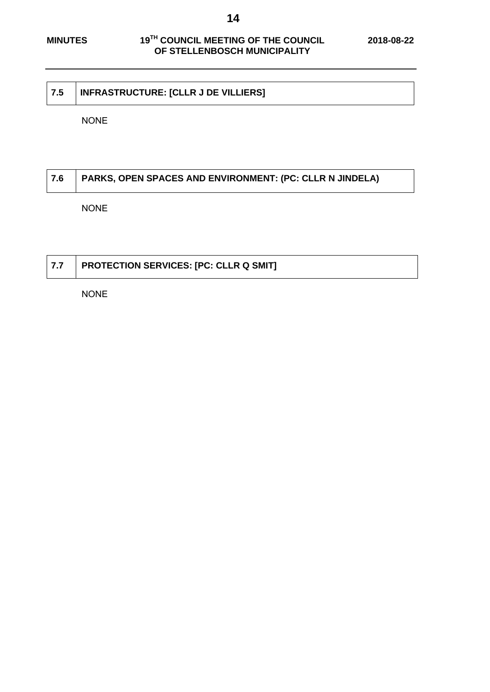# **7.5 INFRASTRUCTURE: [CLLR J DE VILLIERS]**

NONE

# **7.6 PARKS, OPEN SPACES AND ENVIRONMENT: (PC: CLLR N JINDELA)**

NONE

# **7.7 PROTECTION SERVICES: [PC: CLLR Q SMIT]**

NONE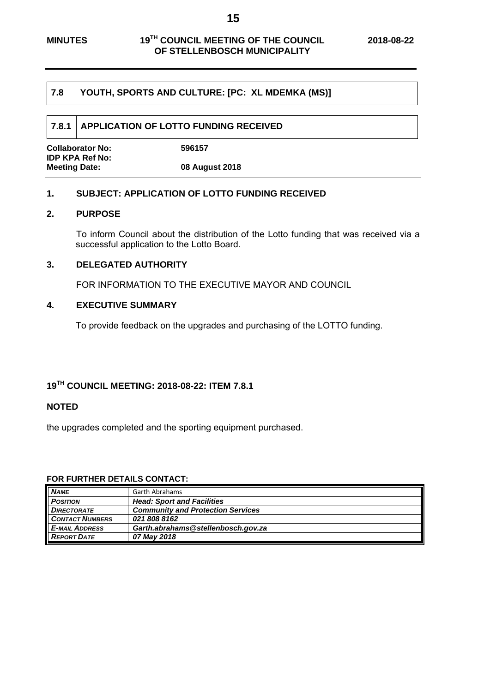#### **7.8 YOUTH, SPORTS AND CULTURE: [PC: XL MDEMKA (MS)]**

#### **7.8.1 APPLICATION OF LOTTO FUNDING RECEIVED**

| <b>Collaborator No:</b> | 596157         |
|-------------------------|----------------|
| <b>IDP KPA Ref No:</b>  |                |
| <b>Meeting Date:</b>    | 08 August 2018 |

#### **1. SUBJECT: APPLICATION OF LOTTO FUNDING RECEIVED**

### **2. PURPOSE**

To inform Council about the distribution of the Lotto funding that was received via a successful application to the Lotto Board.

#### **3. DELEGATED AUTHORITY**

FOR INFORMATION TO THE EXECUTIVE MAYOR AND COUNCIL

#### **4. EXECUTIVE SUMMARY**

To provide feedback on the upgrades and purchasing of the LOTTO funding.

# **19TH COUNCIL MEETING: 2018-08-22: ITEM 7.8.1**

#### **NOTED**

the upgrades completed and the sporting equipment purchased.

| <b>NAME</b>            | Garth Abrahams                           |
|------------------------|------------------------------------------|
| <b>POSITION</b>        | <b>Head: Sport and Facilities</b>        |
| <b>DIRECTORATE</b>     | <b>Community and Protection Services</b> |
| <b>CONTACT NUMBERS</b> | 021 808 8162                             |
| <b>E-MAIL ADDRESS</b>  | Garth.abrahams@stellenbosch.gov.za       |
| <b>REPORT DATE</b>     | 07 May 2018                              |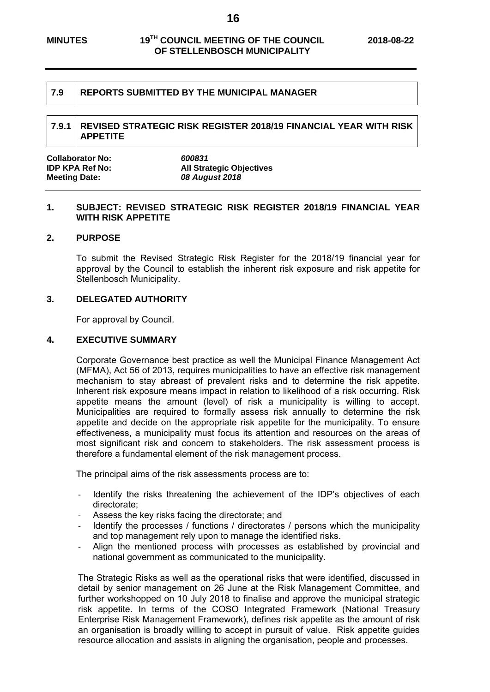#### **7.9 REPORTS SUBMITTED BY THE MUNICIPAL MANAGER**

#### **7.9.1 REVISED STRATEGIC RISK REGISTER 2018/19 FINANCIAL YEAR WITH RISK APPETITE**

| Collaborator No:     | 600831                          |
|----------------------|---------------------------------|
| IDP KPA Ref No:      | <b>All Strategic Objectives</b> |
| <b>Meeting Date:</b> | 08 August 2018                  |

#### **1. SUBJECT: REVISED STRATEGIC RISK REGISTER 2018/19 FINANCIAL YEAR WITH RISK APPETITE**

#### **2. PURPOSE**

To submit the Revised Strategic Risk Register for the 2018/19 financial year for approval by the Council to establish the inherent risk exposure and risk appetite for Stellenbosch Municipality.

#### **3. DELEGATED AUTHORITY**

For approval by Council.

#### **4. EXECUTIVE SUMMARY**

Corporate Governance best practice as well the Municipal Finance Management Act (MFMA), Act 56 of 2013, requires municipalities to have an effective risk management mechanism to stay abreast of prevalent risks and to determine the risk appetite. Inherent risk exposure means impact in relation to likelihood of a risk occurring. Risk appetite means the amount (level) of risk a municipality is willing to accept. Municipalities are required to formally assess risk annually to determine the risk appetite and decide on the appropriate risk appetite for the municipality. To ensure effectiveness, a municipality must focus its attention and resources on the areas of most significant risk and concern to stakeholders. The risk assessment process is therefore a fundamental element of the risk management process.

The principal aims of the risk assessments process are to:

- Identify the risks threatening the achievement of the IDP's objectives of each directorate;
- Assess the key risks facing the directorate; and
- Identify the processes / functions / directorates / persons which the municipality and top management rely upon to manage the identified risks.
- ‐ Align the mentioned process with processes as established by provincial and national government as communicated to the municipality.

The Strategic Risks as well as the operational risks that were identified, discussed in detail by senior management on 26 June at the Risk Management Committee, and further workshopped on 10 July 2018 to finalise and approve the municipal strategic risk appetite. In terms of the COSO Integrated Framework (National Treasury Enterprise Risk Management Framework), defines risk appetite as the amount of risk an organisation is broadly willing to accept in pursuit of value. Risk appetite guides resource allocation and assists in aligning the organisation, people and processes.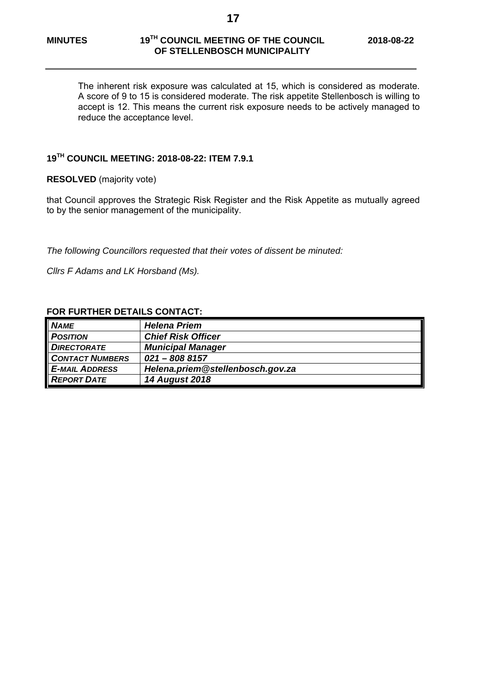The inherent risk exposure was calculated at 15, which is considered as moderate. A score of 9 to 15 is considered moderate. The risk appetite Stellenbosch is willing to accept is 12. This means the current risk exposure needs to be actively managed to reduce the acceptance level.

# **19TH COUNCIL MEETING: 2018-08-22: ITEM 7.9.1**

**RESOLVED** (majority vote)

that Council approves the Strategic Risk Register and the Risk Appetite as mutually agreed to by the senior management of the municipality.

*The following Councillors requested that their votes of dissent be minuted:* 

*Cllrs F Adams and LK Horsband (Ms).* 

| <b>NAME</b>            | <b>Helena Priem</b>              |
|------------------------|----------------------------------|
| <b>POSITION</b>        | <b>Chief Risk Officer</b>        |
| <b>DIRECTORATE</b>     | <b>Municipal Manager</b>         |
| <b>CONTACT NUMBERS</b> | $021 - 8088157$                  |
| <b>E-MAIL ADDRESS</b>  | Helena.priem@stellenbosch.gov.za |
| <b>REPORT DATE</b>     | <b>14 August 2018</b>            |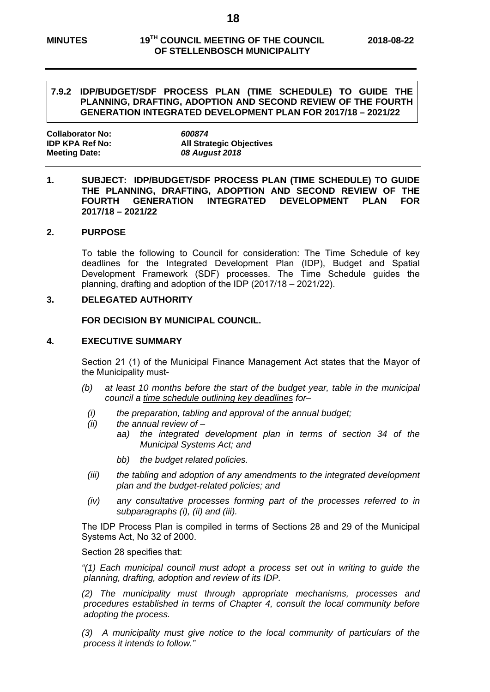#### **MINUTES 19TH COUNCIL MEETING OF THE COUNCIL 2018-08-22 OF STELLENBOSCH MUNICIPALITY**

#### **7.9.2 IDP/BUDGET/SDF PROCESS PLAN (TIME SCHEDULE) TO GUIDE THE PLANNING, DRAFTING, ADOPTION AND SECOND REVIEW OF THE FOURTH GENERATION INTEGRATED DEVELOPMENT PLAN FOR 2017/18 – 2021/22**

| <b>Collaborator No:</b> | 600874                          |
|-------------------------|---------------------------------|
| <b>IDP KPA Ref No:</b>  | <b>All Strategic Objectives</b> |
| <b>Meeting Date:</b>    | 08 August 2018                  |

#### **1. SUBJECT: IDP/BUDGET/SDF PROCESS PLAN (TIME SCHEDULE) TO GUIDE THE PLANNING, DRAFTING, ADOPTION AND SECOND REVIEW OF THE FOURTH GENERATION INTEGRATED DEVELOPMENT PLAN FOR 2017/18 – 2021/22**

#### **2. PURPOSE**

To table the following to Council for consideration: The Time Schedule of key deadlines for the Integrated Development Plan (IDP), Budget and Spatial Development Framework (SDF) processes. The Time Schedule guides the planning, drafting and adoption of the IDP (2017/18 – 2021/22).

#### **3. DELEGATED AUTHORITY**

**FOR DECISION BY MUNICIPAL COUNCIL.** 

#### **4. EXECUTIVE SUMMARY**

Section 21 (1) of the Municipal Finance Management Act states that the Mayor of the Municipality must-

- *(b) at least 10 months before the start of the budget year, table in the municipal council a time schedule outlining key deadlines for–* 
	- *(i) the preparation, tabling and approval of the annual budget;*
	- *(ii) the annual review of* 
		- *aa) the integrated development plan in terms of section 34 of the Municipal Systems Act; and*
		- *bb) the budget related policies.*
- *(iii) the tabling and adoption of any amendments to the integrated development plan and the budget-related policies; and*
- *(iv) any consultative processes forming part of the processes referred to in subparagraphs (i), (ii) and (iii).*

The IDP Process Plan is compiled in terms of Sections 28 and 29 of the Municipal Systems Act, No 32 of 2000.

Section 28 specifies that:

*"(1) Each municipal council must adopt a process set out in writing to guide the planning, drafting, adoption and review of its IDP.* 

*(2) The municipality must through appropriate mechanisms, processes and procedures established in terms of Chapter 4, consult the local community before adopting the process.* 

*(3) A municipality must give notice to the local community of particulars of the process it intends to follow."*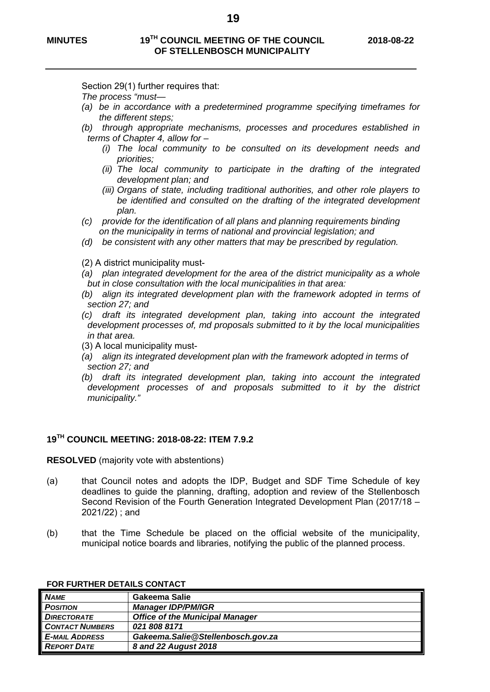Section 29(1) further requires that:

- *The process "must—*
- *(a) be in accordance with a predetermined programme specifying timeframes for the different steps;*
- *(b) through appropriate mechanisms, processes and procedures established in terms of Chapter 4, allow for –* 
	- *(i) The local community to be consulted on its development needs and priorities;*
	- *(ii) The local community to participate in the drafting of the integrated development plan; and*
	- *(iii) Organs of state, including traditional authorities, and other role players to be identified and consulted on the drafting of the integrated development plan.*
- *(c) provide for the identification of all plans and planning requirements binding on the municipality in terms of national and provincial legislation; and*
- *(d) be consistent with any other matters that may be prescribed by regulation.*
- (2) A district municipality must-
- *(a) plan integrated development for the area of the district municipality as a whole but in close consultation with the local municipalities in that area:*
- (b) align its integrated development plan with the framework adopted in terms of *section 27; and*
- *(c) draft its integrated development plan, taking into account the integrated development processes of, md proposals submitted to it by the local municipalities in that area.*
- (3) A local municipality must-
- *(a) align its integrated development plan with the framework adopted in terms of section 27; and*
- *(b) draft its integrated development plan, taking into account the integrated development processes of and proposals submitted to it by the district municipality."*

#### **19TH COUNCIL MEETING: 2018-08-22: ITEM 7.9.2**

**RESOLVED** (majority vote with abstentions)

- (a) that Council notes and adopts the IDP, Budget and SDF Time Schedule of key deadlines to guide the planning, drafting, adoption and review of the Stellenbosch Second Revision of the Fourth Generation Integrated Development Plan (2017/18 – 2021/22) ; and
- (b) that the Time Schedule be placed on the official website of the municipality, municipal notice boards and libraries, notifying the public of the planned process.

| <b>NAME</b>            | Gakeema Salie                          |
|------------------------|----------------------------------------|
| <b>POSITION</b>        | <b>Manager IDP/PM/IGR</b>              |
| <b>DIRECTORATE</b>     | <b>Office of the Municipal Manager</b> |
| <b>CONTACT NUMBERS</b> | 0218088171                             |
| <b>E-MAIL ADDRESS</b>  | Gakeema.Salie@Stellenbosch.gov.za      |
| <b>REPORT DATE</b>     | 8 and 22 August 2018                   |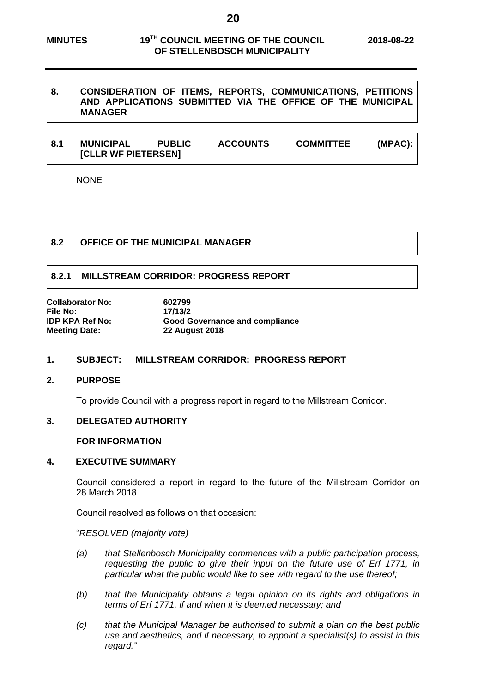# **8. CONSIDERATION OF ITEMS, REPORTS, COMMUNICATIONS, PETITIONS AND APPLICATIONS SUBMITTED VIA THE OFFICE OF THE MUNICIPAL MANAGER**

| ∣ 8.1 | <b>MUNICIPAL</b>           | <b>PUBLIC</b> | <b>ACCOUNTS</b> | <b>COMMITTEE</b> | (MPAC): |
|-------|----------------------------|---------------|-----------------|------------------|---------|
|       | <b>ICLLR WF PIETERSEN]</b> |               |                 |                  |         |

NONE

#### **8.2 OFFICE OF THE MUNICIPAL MANAGER**

### **8.2.1 MILLSTREAM CORRIDOR: PROGRESS REPORT**

**Collaborator No: 602799** File No: 17/13/2<br> **IDP KPA Ref No: 6000 G Meeting Date: 22 August 2018** 

**Good Governance and compliance** 

# **1. SUBJECT: MILLSTREAM CORRIDOR: PROGRESS REPORT**

#### **2. PURPOSE**

To provide Council with a progress report in regard to the Millstream Corridor.

#### **3. DELEGATED AUTHORITY**

#### **FOR INFORMATION**

#### **4. EXECUTIVE SUMMARY**

Council considered a report in regard to the future of the Millstream Corridor on 28 March 2018.

Council resolved as follows on that occasion:

#### "*RESOLVED (majority vote)*

- *(a) that Stellenbosch Municipality commences with a public participation process, requesting the public to give their input on the future use of Erf 1771, in particular what the public would like to see with regard to the use thereof;*
- *(b) that the Municipality obtains a legal opinion on its rights and obligations in terms of Erf 1771, if and when it is deemed necessary; and*
- *(c) that the Municipal Manager be authorised to submit a plan on the best public use and aesthetics, and if necessary, to appoint a specialist(s) to assist in this regard."*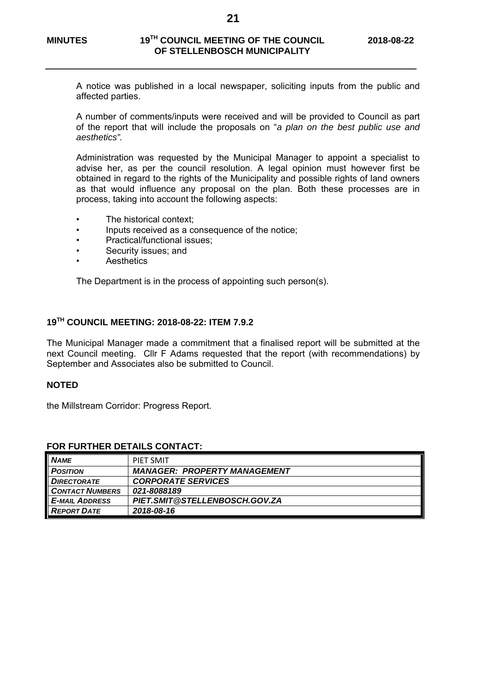A notice was published in a local newspaper, soliciting inputs from the public and affected parties.

A number of comments/inputs were received and will be provided to Council as part of the report that will include the proposals on "*a plan on the best public use and aesthetics".* 

Administration was requested by the Municipal Manager to appoint a specialist to advise her, as per the council resolution. A legal opinion must however first be obtained in regard to the rights of the Municipality and possible rights of land owners as that would influence any proposal on the plan. Both these processes are in process, taking into account the following aspects:

- The historical context:
- Inputs received as a consequence of the notice;
- Practical/functional issues;
- Security issues; and
- **Aesthetics**

The Department is in the process of appointing such person(s).

# **19TH COUNCIL MEETING: 2018-08-22: ITEM 7.9.2**

The Municipal Manager made a commitment that a finalised report will be submitted at the next Council meeting. Cllr F Adams requested that the report (with recommendations) by September and Associates also be submitted to Council.

#### **NOTED**

the Millstream Corridor: Progress Report.

| <b>NAME</b>            | PIFT SMIT                           |
|------------------------|-------------------------------------|
| <b>POSITION</b>        | <b>MANAGER: PROPERTY MANAGEMENT</b> |
| <b>DIRECTORATE</b>     | <b>CORPORATE SERVICES</b>           |
| <b>CONTACT NUMBERS</b> | 021-8088189                         |
| <b>E-MAIL ADDRESS</b>  | PIET.SMIT@STELLENBOSCH.GOV.ZA       |
| <b>REPORT DATE</b>     | 2018-08-16                          |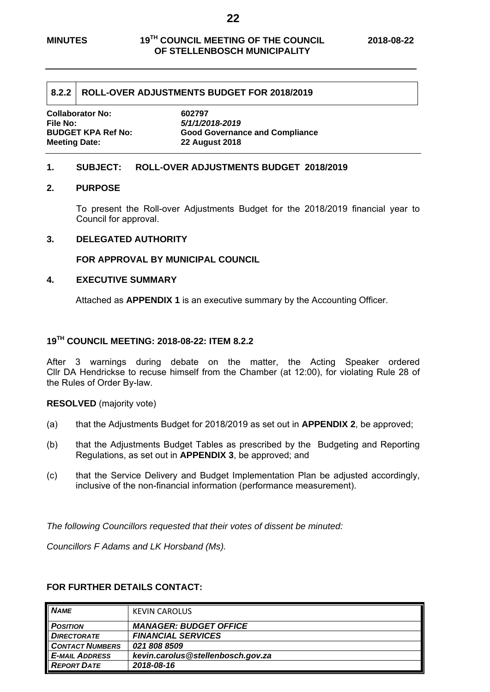#### **8.2.2 ROLL-OVER ADJUSTMENTS BUDGET FOR 2018/2019**

**Collaborator No: 602797 File No:** *5/1/1/2018-2019* **Meeting Date: 22 August 2018** 

**Good Governance and Compliance** 

#### **1. SUBJECT: ROLL-OVER ADJUSTMENTS BUDGET 2018/2019**

#### **2. PURPOSE**

To present the Roll-over Adjustments Budget for the 2018/2019 financial year to Council for approval.

#### **3. DELEGATED AUTHORITY**

**FOR APPROVAL BY MUNICIPAL COUNCIL**

#### **4. EXECUTIVE SUMMARY**

Attached as **APPENDIX 1** is an executive summary by the Accounting Officer.

# **19TH COUNCIL MEETING: 2018-08-22: ITEM 8.2.2**

After 3 warnings during debate on the matter, the Acting Speaker ordered Cllr DA Hendrickse to recuse himself from the Chamber (at 12:00), for violating Rule 28 of the Rules of Order By-law.

**RESOLVED** (majority vote)

- (a) that the Adjustments Budget for 2018/2019 as set out in **APPENDIX 2**, be approved;
- (b) that the Adjustments Budget Tables as prescribed by the Budgeting and Reporting Regulations, as set out in **APPENDIX 3**, be approved; and
- (c) that the Service Delivery and Budget Implementation Plan be adjusted accordingly, inclusive of the non-financial information (performance measurement).

*The following Councillors requested that their votes of dissent be minuted:* 

*Councillors F Adams and LK Horsband (Ms).* 

| <b>NAME</b>            | <b>KEVIN CAROLUS</b>              |
|------------------------|-----------------------------------|
| <b>POSITION</b>        | <b>MANAGER: BUDGET OFFICE</b>     |
| <b>DIRECTORATE</b>     | <b>FINANCIAL SERVICES</b>         |
| <b>CONTACT NUMBERS</b> | 021 808 8509                      |
| <b>E-MAIL ADDRESS</b>  | kevin.carolus@stellenbosch.gov.za |
| <b>REPORT DATE</b>     | 2018-08-16                        |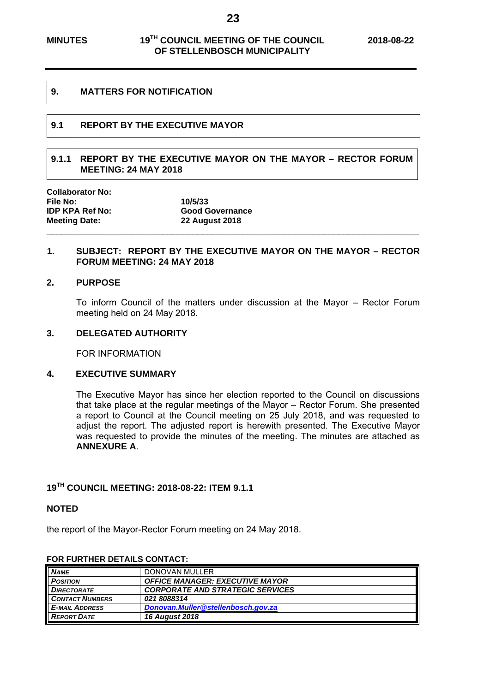| 9.  | <b>MATTERS FOR NOTIFICATION</b>      |
|-----|--------------------------------------|
| 9.1 | <b>REPORT BY THE EXECUTIVE MAYOR</b> |
|     |                                      |

# **9.1.1 REPORT BY THE EXECUTIVE MAYOR ON THE MAYOR – RECTOR FORUM MEETING: 24 MAY 2018**

| <b>Collaborator No:</b> |                        |  |
|-------------------------|------------------------|--|
| File No:                | 10/5/33                |  |
| <b>IDP KPA Ref No:</b>  | <b>Good Governance</b> |  |
| <b>Meeting Date:</b>    | <b>22 August 2018</b>  |  |
|                         |                        |  |

#### **1. SUBJECT: REPORT BY THE EXECUTIVE MAYOR ON THE MAYOR – RECTOR FORUM MEETING: 24 MAY 2018**

#### **2. PURPOSE**

To inform Council of the matters under discussion at the Mayor – Rector Forum meeting held on 24 May 2018.

#### **3. DELEGATED AUTHORITY**

FOR INFORMATION

#### **4. EXECUTIVE SUMMARY**

The Executive Mayor has since her election reported to the Council on discussions that take place at the regular meetings of the Mayor – Rector Forum. She presented a report to Council at the Council meeting on 25 July 2018, and was requested to adjust the report. The adjusted report is herewith presented. The Executive Mayor was requested to provide the minutes of the meeting. The minutes are attached as **ANNEXURE A**.

### **19TH COUNCIL MEETING: 2018-08-22: ITEM 9.1.1**

#### **NOTED**

the report of the Mayor-Rector Forum meeting on 24 May 2018.

| <b>NAME</b>            | DONOVAN MULLER                          |
|------------------------|-----------------------------------------|
| <b>POSITION</b>        | <b>OFFICE MANAGER: EXECUTIVE MAYOR</b>  |
| <b>DIRECTORATE</b>     | <b>CORPORATE AND STRATEGIC SERVICES</b> |
| <b>CONTACT NUMBERS</b> | 021 8088314                             |
| <b>E-MAIL ADDRESS</b>  | Donovan.Muller@stellenbosch.gov.za      |
| <b>REPORT DATE</b>     | <b>16 August 2018</b>                   |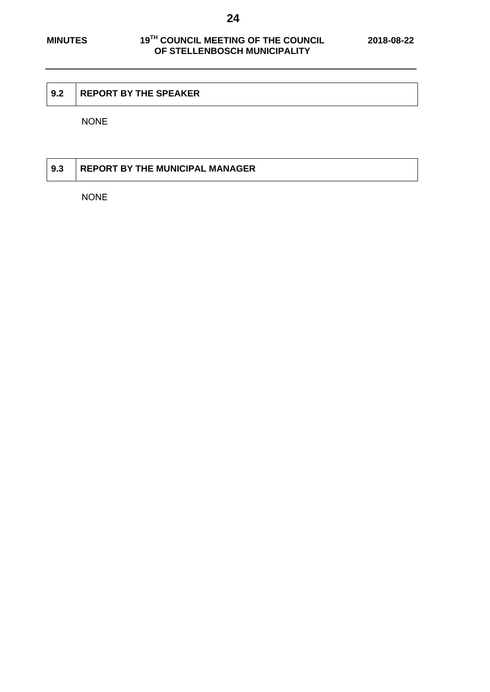#### **9.2 REPORT BY THE SPEAKER**

NONE

# **9.3 REPORT BY THE MUNICIPAL MANAGER**

NONE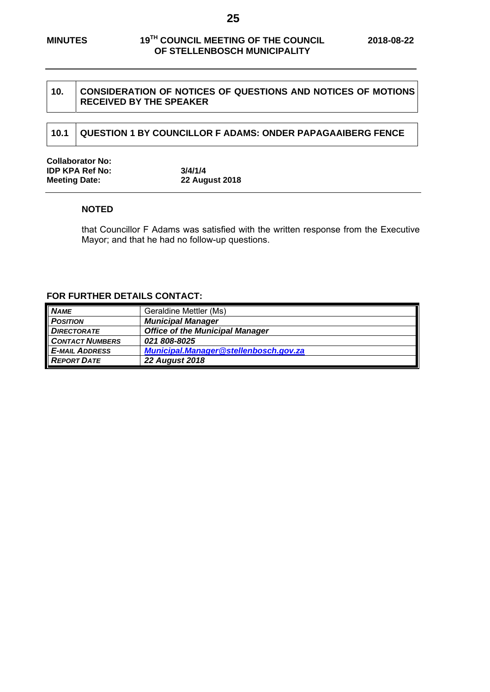#### 10. CONSIDERATION OF NOTICES OF QUESTIONS AND NOTICES OF MOTIONS **RECEIVED BY THE SPEAKER**

# **10.1 QUESTION 1 BY COUNCILLOR F ADAMS: ONDER PAPAGAAIBERG FENCE**

| <b>Collaborator No:</b> |                       |  |
|-------------------------|-----------------------|--|
| <b>IDP KPA Ref No:</b>  | 3/4/1/4               |  |
| <b>Meeting Date:</b>    | <b>22 August 2018</b> |  |

#### **NOTED**

that Councillor F Adams was satisfied with the written response from the Executive Mayor; and that he had no follow-up questions.

| <b>NAME</b>            | Geraldine Mettler (Ms)                 |
|------------------------|----------------------------------------|
| <b>POSITION</b>        | <b>Municipal Manager</b>               |
| <b>DIRECTORATE</b>     | <b>Office of the Municipal Manager</b> |
| <b>CONTACT NUMBERS</b> | 021 808-8025                           |
| <b>E-MAIL ADDRESS</b>  | Municipal.Manager@stellenbosch.gov.za  |
| <b>REPORT DATE</b>     | <b>22 August 2018</b>                  |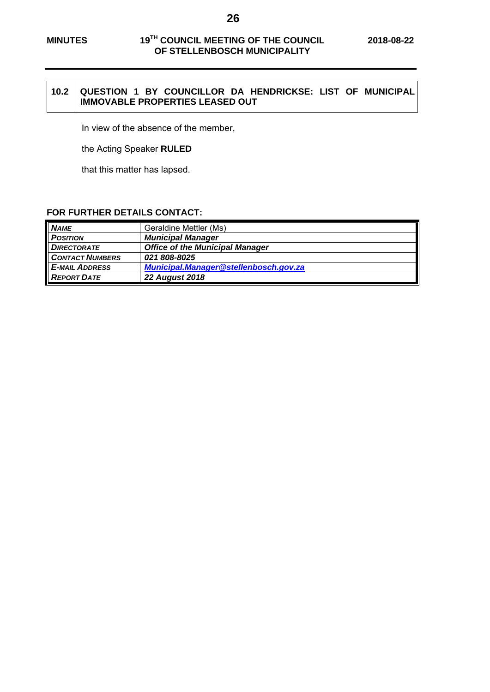#### **10.2 QUESTION 1 BY COUNCILLOR DA HENDRICKSE: LIST OF MUNICIPAL IMMOVABLE PROPERTIES LEASED OUT**

In view of the absence of the member,

the Acting Speaker **RULED** 

that this matter has lapsed.

| <b>NAME</b>            | Geraldine Mettler (Ms)                 |
|------------------------|----------------------------------------|
| <b>POSITION</b>        | <b>Municipal Manager</b>               |
| <b>DIRECTORATE</b>     | <b>Office of the Municipal Manager</b> |
| <b>CONTACT NUMBERS</b> | <i><b>021 808-8025</b></i>             |
| <b>E-MAIL ADDRESS</b>  | Municipal.Manager@stellenbosch.gov.za  |
| <b>REPORT DATE</b>     | <b>22 August 2018</b>                  |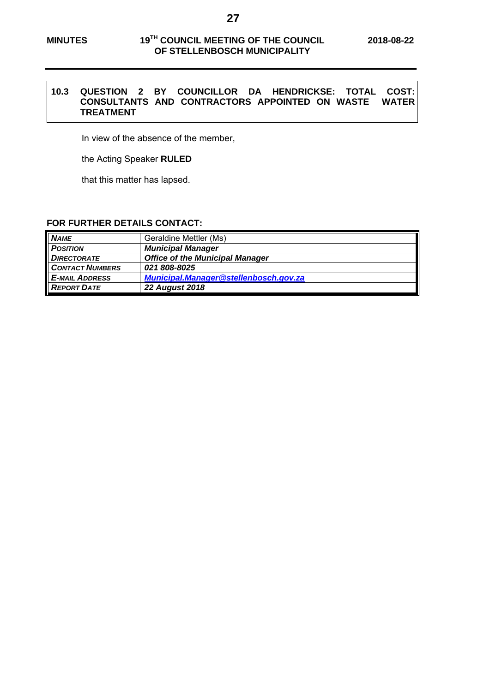#### **10.3 QUESTION 2 BY COUNCILLOR DA HENDRICKSE: TOTAL COST: CONSULTANTS AND CONTRACTORS APPOINTED ON WASTE WATER TREATMENT**

In view of the absence of the member,

the Acting Speaker **RULED** 

that this matter has lapsed.

| <b>NAME</b>            | Geraldine Mettler (Ms)                 |
|------------------------|----------------------------------------|
| <b>POSITION</b>        | <b>Municipal Manager</b>               |
| <b>DIRECTORATE</b>     | <b>Office of the Municipal Manager</b> |
| <b>CONTACT NUMBERS</b> | 021 808-8025                           |
| <b>E-MAIL ADDRESS</b>  | Municipal.Manager@stellenbosch.gov.za  |
| <b>REPORT DATE</b>     | <b>22 August 2018</b>                  |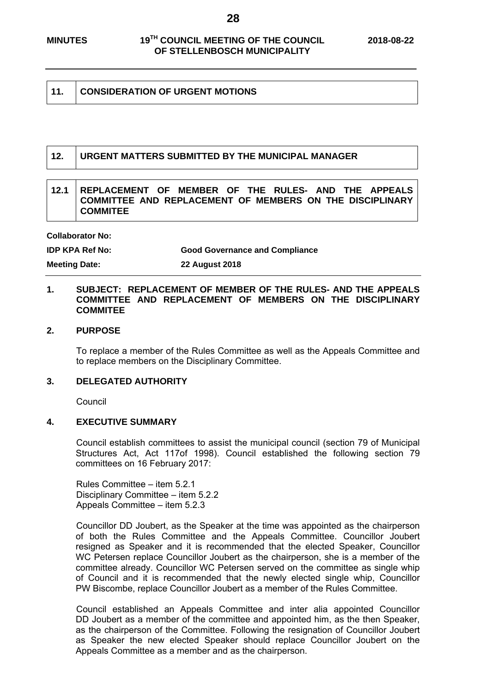| 11. | <b>CONSIDERATION OF URGENT MOTIONS</b> |
|-----|----------------------------------------|
|-----|----------------------------------------|

#### **12. URGENT MATTERS SUBMITTED BY THE MUNICIPAL MANAGER**

#### **12.1 REPLACEMENT OF MEMBER OF THE RULES- AND THE APPEALS COMMITTEE AND REPLACEMENT OF MEMBERS ON THE DISCIPLINARY COMMITEE**

**Collaborator No:** 

**IDP KPA Ref No: Good Governance and Compliance** 

**Meeting Date: 22 August 2018** 

#### **1. SUBJECT: REPLACEMENT OF MEMBER OF THE RULES- AND THE APPEALS COMMITTEE AND REPLACEMENT OF MEMBERS ON THE DISCIPLINARY COMMITEE**

#### **2. PURPOSE**

To replace a member of the Rules Committee as well as the Appeals Committee and to replace members on the Disciplinary Committee.

#### **3. DELEGATED AUTHORITY**

Council

#### **4. EXECUTIVE SUMMARY**

Council establish committees to assist the municipal council (section 79 of Municipal Structures Act, Act 117of 1998). Council established the following section 79 committees on 16 February 2017:

Rules Committee – item 5.2.1 Disciplinary Committee – item 5.2.2 Appeals Committee – item 5.2.3

Councillor DD Joubert, as the Speaker at the time was appointed as the chairperson of both the Rules Committee and the Appeals Committee. Councillor Joubert resigned as Speaker and it is recommended that the elected Speaker, Councillor WC Petersen replace Councillor Joubert as the chairperson, she is a member of the committee already. Councillor WC Petersen served on the committee as single whip of Council and it is recommended that the newly elected single whip, Councillor PW Biscombe, replace Councillor Joubert as a member of the Rules Committee.

Council established an Appeals Committee and inter alia appointed Councillor DD Joubert as a member of the committee and appointed him, as the then Speaker, as the chairperson of the Committee. Following the resignation of Councillor Joubert as Speaker the new elected Speaker should replace Councillor Joubert on the Appeals Committee as a member and as the chairperson.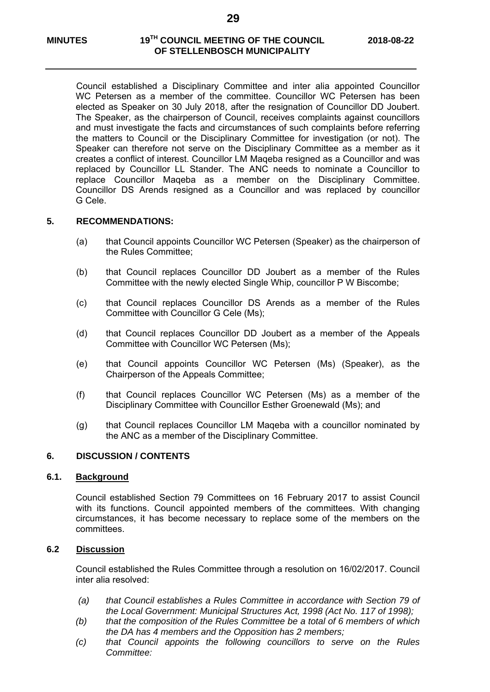Council established a Disciplinary Committee and inter alia appointed Councillor WC Petersen as a member of the committee. Councillor WC Petersen has been elected as Speaker on 30 July 2018, after the resignation of Councillor DD Joubert. The Speaker, as the chairperson of Council, receives complaints against councillors and must investigate the facts and circumstances of such complaints before referring the matters to Council or the Disciplinary Committee for investigation (or not). The Speaker can therefore not serve on the Disciplinary Committee as a member as it creates a conflict of interest. Councillor LM Maqeba resigned as a Councillor and was replaced by Councillor LL Stander. The ANC needs to nominate a Councillor to replace Councillor Maqeba as a member on the Disciplinary Committee. Councillor DS Arends resigned as a Councillor and was replaced by councillor G Cele.

#### **5. RECOMMENDATIONS:**

- (a) that Council appoints Councillor WC Petersen (Speaker) as the chairperson of the Rules Committee;
- (b) that Council replaces Councillor DD Joubert as a member of the Rules Committee with the newly elected Single Whip, councillor P W Biscombe;
- (c) that Council replaces Councillor DS Arends as a member of the Rules Committee with Councillor G Cele (Ms);
- (d) that Council replaces Councillor DD Joubert as a member of the Appeals Committee with Councillor WC Petersen (Ms);
- (e) that Council appoints Councillor WC Petersen (Ms) (Speaker), as the Chairperson of the Appeals Committee;
- (f) that Council replaces Councillor WC Petersen (Ms) as a member of the Disciplinary Committee with Councillor Esther Groenewald (Ms); and
- (g) that Council replaces Councillor LM Maqeba with a councillor nominated by the ANC as a member of the Disciplinary Committee.

### **6. DISCUSSION / CONTENTS**

#### **6.1. Background**

Council established Section 79 Committees on 16 February 2017 to assist Council with its functions. Council appointed members of the committees. With changing circumstances, it has become necessary to replace some of the members on the committees.

#### **6.2 Discussion**

Council established the Rules Committee through a resolution on 16/02/2017. Council inter alia resolved:

- *(a) that Council establishes a Rules Committee in accordance with Section 79 of the Local Government: Municipal Structures Act, 1998 (Act No. 117 of 1998);*
- *(b) that the composition of the Rules Committee be a total of 6 members of which the DA has 4 members and the Opposition has 2 members;*
- *(c) that Council appoints the following councillors to serve on the Rules Committee:*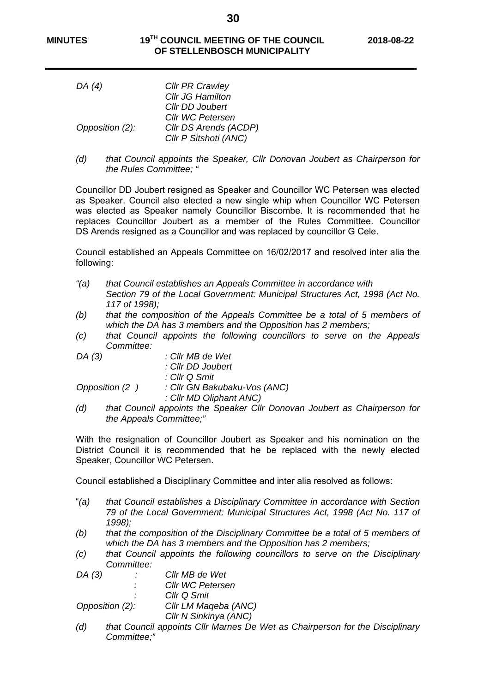**30** 

| DA (4)          | <b>CIIr PR Crawley</b>  |
|-----------------|-------------------------|
|                 | <b>Cllr JG Hamilton</b> |
|                 | Cllr DD Joubert         |
|                 | <b>CIIr WC Petersen</b> |
| Opposition (2): | Cllr DS Arends (ACDP)   |
|                 | Cllr P Sitshoti (ANC)   |

*(d) that Council appoints the Speaker, Cllr Donovan Joubert as Chairperson for the Rules Committee; "* 

Councillor DD Joubert resigned as Speaker and Councillor WC Petersen was elected as Speaker. Council also elected a new single whip when Councillor WC Petersen was elected as Speaker namely Councillor Biscombe. It is recommended that he replaces Councillor Joubert as a member of the Rules Committee. Councillor DS Arends resigned as a Councillor and was replaced by councillor G Cele.

Council established an Appeals Committee on 16/02/2017 and resolved inter alia the following:

- *"(a) that Council establishes an Appeals Committee in accordance with Section 79 of the Local Government: Municipal Structures Act, 1998 (Act No. 117 of 1998);*
- *(b) that the composition of the Appeals Committee be a total of 5 members of which the DA has 3 members and the Opposition has 2 members;*
- *(c) that Council appoints the following councillors to serve on the Appeals Committee:*

| DA(3) | : Cllr MB de Wet |                                             |
|-------|------------------|---------------------------------------------|
|       |                  | : Cllr DD Joubert                           |
|       |                  | : Cllr Q Smit                               |
|       | Opposition (2)   | : Cllr GN Bakubaku-Vos (ANC)                |
|       |                  | : Cllr MD Oliphant ANC)                     |
| (d)   |                  | that Council appoints the Speaker Cllr Dono |

*(d) that Council appoints the Speaker Cllr Donovan Joubert as Chairperson for the Appeals Committee;"* 

With the resignation of Councillor Joubert as Speaker and his nomination on the District Council it is recommended that he be replaced with the newly elected Speaker, Councillor WC Petersen.

Council established a Disciplinary Committee and inter alia resolved as follows:

- "*(a) that Council establishes a Disciplinary Committee in accordance with Section 79 of the Local Government: Municipal Structures Act, 1998 (Act No. 117 of 1998);*
- *(b) that the composition of the Disciplinary Committee be a total of 5 members of which the DA has 3 members and the Opposition has 2 members;*
- *(c) that Council appoints the following councillors to serve on the Disciplinary Committee:*
- *DA (3) : Cllr MB de Wet*

*Cllr WC Petersen* 

*<i>Cllr Q Smit* 

 *Opposition (2): Cllr LM Maqeba (ANC)* 

- *Cllr N Sinkinya (ANC)*
- *(d) that Council appoints Cllr Marnes De Wet as Chairperson for the Disciplinary Committee;"*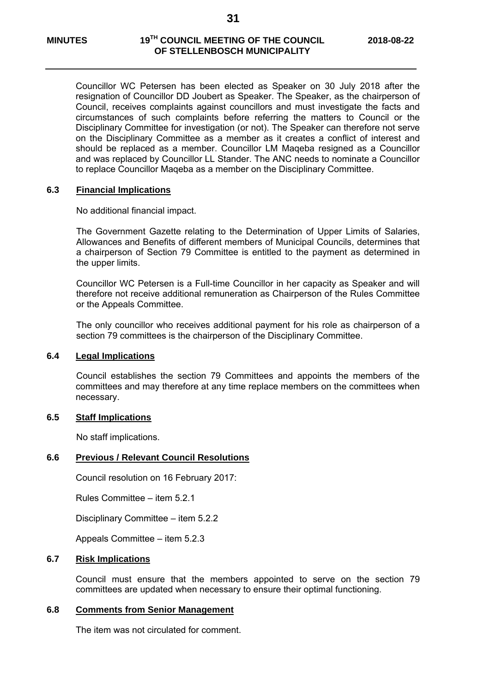Councillor WC Petersen has been elected as Speaker on 30 July 2018 after the resignation of Councillor DD Joubert as Speaker. The Speaker, as the chairperson of Council, receives complaints against councillors and must investigate the facts and circumstances of such complaints before referring the matters to Council or the Disciplinary Committee for investigation (or not). The Speaker can therefore not serve on the Disciplinary Committee as a member as it creates a conflict of interest and should be replaced as a member. Councillor LM Maqeba resigned as a Councillor and was replaced by Councillor LL Stander. The ANC needs to nominate a Councillor to replace Councillor Maqeba as a member on the Disciplinary Committee.

#### **6.3 Financial Implications**

No additional financial impact.

The Government Gazette relating to the Determination of Upper Limits of Salaries, Allowances and Benefits of different members of Municipal Councils, determines that a chairperson of Section 79 Committee is entitled to the payment as determined in the upper limits.

Councillor WC Petersen is a Full-time Councillor in her capacity as Speaker and will therefore not receive additional remuneration as Chairperson of the Rules Committee or the Appeals Committee.

The only councillor who receives additional payment for his role as chairperson of a section 79 committees is the chairperson of the Disciplinary Committee.

## **6.4 Legal Implications**

 Council establishes the section 79 Committees and appoints the members of the committees and may therefore at any time replace members on the committees when necessary.

#### **6.5 Staff Implications**

No staff implications.

#### **6.6 Previous / Relevant Council Resolutions**

Council resolution on 16 February 2017:

Rules Committee – item 5.2.1

Disciplinary Committee – item 5.2.2

Appeals Committee – item 5.2.3

#### **6.7 Risk Implications**

Council must ensure that the members appointed to serve on the section 79 committees are updated when necessary to ensure their optimal functioning.

#### **6.8 Comments from Senior Management**

The item was not circulated for comment.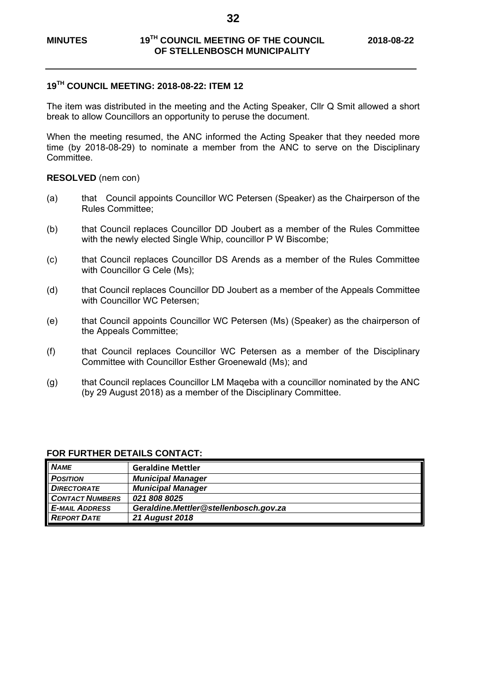**32** 

## **19TH COUNCIL MEETING: 2018-08-22: ITEM 12**

The item was distributed in the meeting and the Acting Speaker, Cllr Q Smit allowed a short break to allow Councillors an opportunity to peruse the document.

When the meeting resumed, the ANC informed the Acting Speaker that they needed more time (by 2018-08-29) to nominate a member from the ANC to serve on the Disciplinary Committee.

#### **RESOLVED** (nem con)

- (a) that Council appoints Councillor WC Petersen (Speaker) as the Chairperson of the Rules Committee;
- (b) that Council replaces Councillor DD Joubert as a member of the Rules Committee with the newly elected Single Whip, councillor P W Biscombe;
- (c) that Council replaces Councillor DS Arends as a member of the Rules Committee with Councillor G Cele (Ms);
- (d) that Council replaces Councillor DD Joubert as a member of the Appeals Committee with Councillor WC Petersen:
- (e) that Council appoints Councillor WC Petersen (Ms) (Speaker) as the chairperson of the Appeals Committee;
- (f) that Council replaces Councillor WC Petersen as a member of the Disciplinary Committee with Councillor Esther Groenewald (Ms); and
- (g) that Council replaces Councillor LM Maqeba with a councillor nominated by the ANC (by 29 August 2018) as a member of the Disciplinary Committee.

| <b>NAME</b>            | <b>Geraldine Mettler</b>              |
|------------------------|---------------------------------------|
| <b>POSITION</b>        | <b>Municipal Manager</b>              |
| <b>DIRECTORATE</b>     | <b>Municipal Manager</b>              |
| <b>CONTACT NUMBERS</b> | 021 808 8025                          |
| <b>E-MAIL ADDRESS</b>  | Geraldine.Mettler@stellenbosch.gov.za |
| <b>REPORT DATE</b>     | <b>21 August 2018</b>                 |